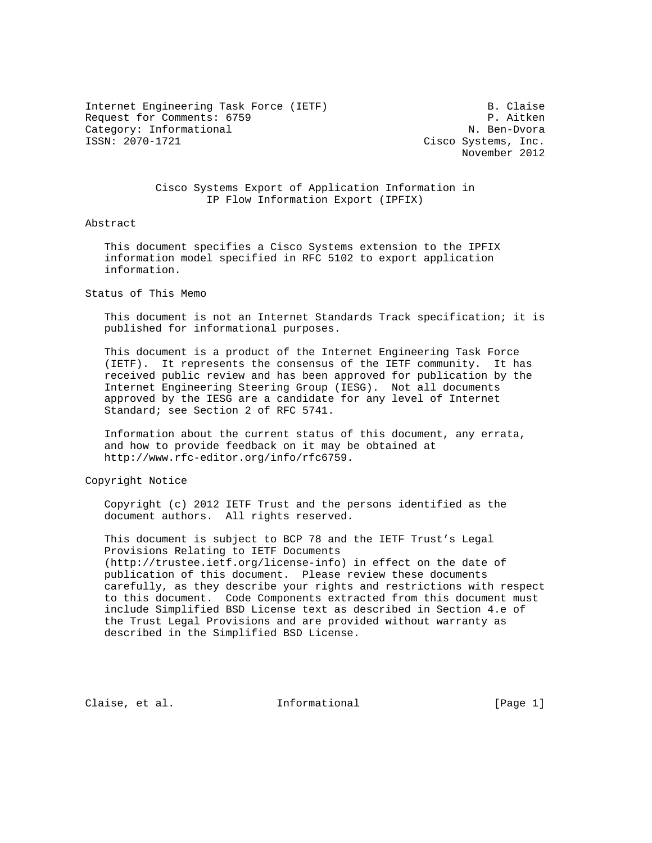Internet Engineering Task Force (IETF) B. Claise Request for Comments: 6759 P. Aitken Category: Informational N. Ben-Dvora<br>
ISSN: 2070-1721 Cisco Systems. Inc.

Cisco Systems, Inc. November 2012

 Cisco Systems Export of Application Information in IP Flow Information Export (IPFIX)

#### Abstract

 This document specifies a Cisco Systems extension to the IPFIX information model specified in RFC 5102 to export application information.

Status of This Memo

 This document is not an Internet Standards Track specification; it is published for informational purposes.

 This document is a product of the Internet Engineering Task Force (IETF). It represents the consensus of the IETF community. It has received public review and has been approved for publication by the Internet Engineering Steering Group (IESG). Not all documents approved by the IESG are a candidate for any level of Internet Standard; see Section 2 of RFC 5741.

 Information about the current status of this document, any errata, and how to provide feedback on it may be obtained at http://www.rfc-editor.org/info/rfc6759.

Copyright Notice

 Copyright (c) 2012 IETF Trust and the persons identified as the document authors. All rights reserved.

 This document is subject to BCP 78 and the IETF Trust's Legal Provisions Relating to IETF Documents (http://trustee.ietf.org/license-info) in effect on the date of publication of this document. Please review these documents carefully, as they describe your rights and restrictions with respect to this document. Code Components extracted from this document must include Simplified BSD License text as described in Section 4.e of the Trust Legal Provisions and are provided without warranty as described in the Simplified BSD License.

Claise, et al. Informational [Page 1]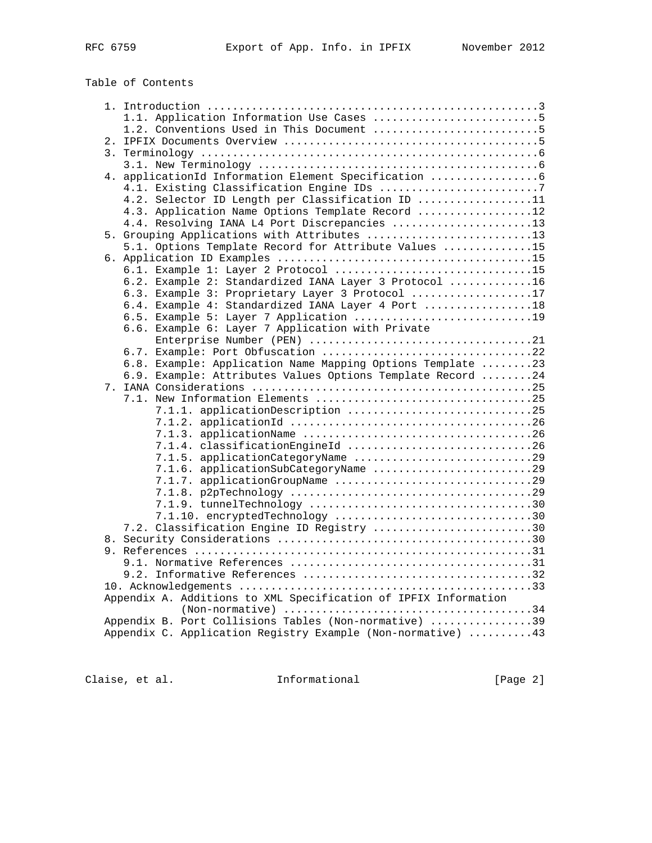| RFC | 6759 |
|-----|------|
|     |      |

# Table of Contents

|    | 1.1. Application Information Use Cases 5                        |
|----|-----------------------------------------------------------------|
|    | 1.2. Conventions Used in This Document 5                        |
| 2. |                                                                 |
|    |                                                                 |
|    |                                                                 |
|    | 4. applicationId Information Element Specification              |
|    |                                                                 |
|    |                                                                 |
|    | 4.2. Selector ID Length per Classification ID 11                |
|    | 4.3. Application Name Options Template Record 12                |
|    | 4.4. Resolving IANA L4 Port Discrepancies 13                    |
|    | 5. Grouping Applications with Attributes 13                     |
|    | 5.1. Options Template Record for Attribute Values 15            |
|    |                                                                 |
|    | 6.1. Example 1: Layer 2 Protocol 15                             |
|    | 6.2. Example 2: Standardized IANA Layer 3 Protocol 16           |
|    | 6.3. Example 3: Proprietary Layer 3 Protocol 17                 |
|    |                                                                 |
|    | 6.4. Example 4: Standardized IANA Layer 4 Port 18               |
|    | 6.5. Example 5: Layer 7 Application 19                          |
|    | 6.6. Example 6: Layer 7 Application with Private                |
|    |                                                                 |
|    |                                                                 |
|    | 6.8. Example: Application Name Mapping Options Template 23      |
|    | 6.9. Example: Attributes Values Options Template Record 24      |
|    |                                                                 |
|    |                                                                 |
|    | 7.1.1. application Description 25                               |
|    |                                                                 |
|    |                                                                 |
|    |                                                                 |
|    | 7.1.4. classificationEngineId 26                                |
|    | 7.1.5. applicationCategoryName 29                               |
|    | 7.1.6. applicationSubCategoryName 29                            |
|    |                                                                 |
|    |                                                                 |
|    |                                                                 |
|    | 7.1.10. encryptedTechnology 30                                  |
|    | 7.2. Classification Engine ID Registry 30                       |
|    |                                                                 |
|    |                                                                 |
|    |                                                                 |
|    |                                                                 |
|    |                                                                 |
|    |                                                                 |
|    | Appendix A. Additions to XML Specification of IPFIX Information |
|    |                                                                 |
|    | Appendix B. Port Collisions Tables (Non-normative) 39           |
|    | Appendix C. Application Registry Example (Non-normative) 43     |
|    |                                                                 |

Claise, et al. 1nformational [Page 2]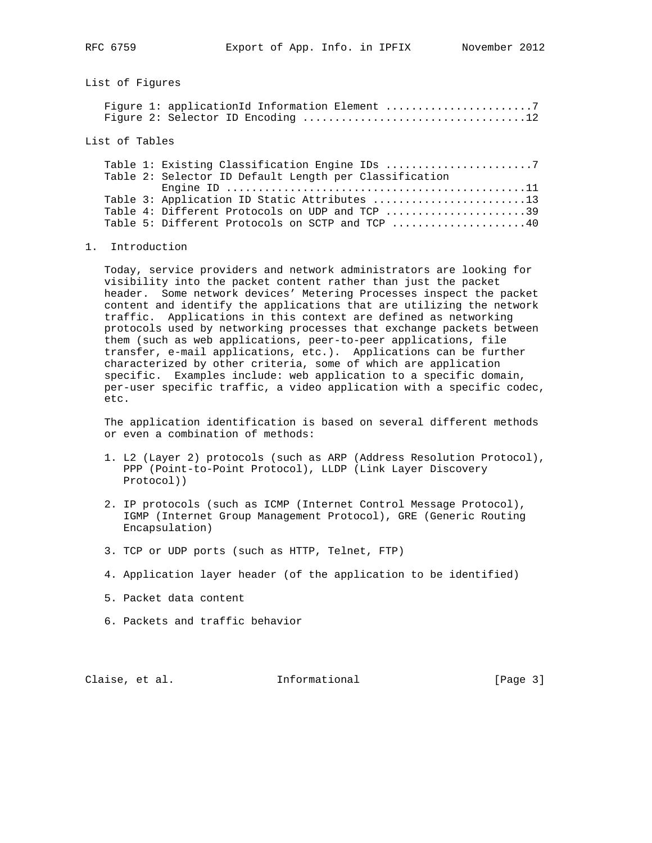List of Figures

List of Tables

|  | Table 2: Selector ID Default Length per Classification |
|--|--------------------------------------------------------|
|  |                                                        |
|  | Table 3: Application ID Static Attributes 13           |
|  | Table 4: Different Protocols on UDP and TCP 39         |
|  | Table 5: Different Protocols on SCTP and TCP 40        |

#### 1. Introduction

 Today, service providers and network administrators are looking for visibility into the packet content rather than just the packet header. Some network devices' Metering Processes inspect the packet content and identify the applications that are utilizing the network traffic. Applications in this context are defined as networking protocols used by networking processes that exchange packets between them (such as web applications, peer-to-peer applications, file transfer, e-mail applications, etc.). Applications can be further characterized by other criteria, some of which are application specific. Examples include: web application to a specific domain, per-user specific traffic, a video application with a specific codec, etc.

 The application identification is based on several different methods or even a combination of methods:

- 1. L2 (Layer 2) protocols (such as ARP (Address Resolution Protocol), PPP (Point-to-Point Protocol), LLDP (Link Layer Discovery Protocol))
- 2. IP protocols (such as ICMP (Internet Control Message Protocol), IGMP (Internet Group Management Protocol), GRE (Generic Routing Encapsulation)
- 3. TCP or UDP ports (such as HTTP, Telnet, FTP)
- 4. Application layer header (of the application to be identified)
- 5. Packet data content
- 6. Packets and traffic behavior

Claise, et al. 1nformational [Page 3]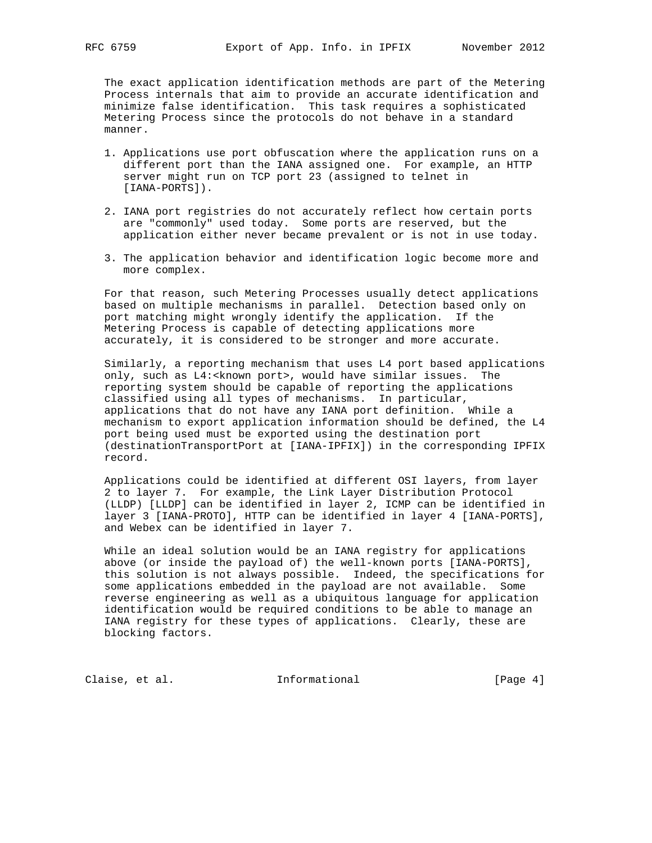The exact application identification methods are part of the Metering Process internals that aim to provide an accurate identification and minimize false identification. This task requires a sophisticated Metering Process since the protocols do not behave in a standard manner.

- 1. Applications use port obfuscation where the application runs on a different port than the IANA assigned one. For example, an HTTP server might run on TCP port 23 (assigned to telnet in [IANA-PORTS]).
- 2. IANA port registries do not accurately reflect how certain ports are "commonly" used today. Some ports are reserved, but the application either never became prevalent or is not in use today.
- 3. The application behavior and identification logic become more and more complex.

 For that reason, such Metering Processes usually detect applications based on multiple mechanisms in parallel. Detection based only on port matching might wrongly identify the application. If the Metering Process is capable of detecting applications more accurately, it is considered to be stronger and more accurate.

 Similarly, a reporting mechanism that uses L4 port based applications only, such as L4:<known port>, would have similar issues. The reporting system should be capable of reporting the applications classified using all types of mechanisms. In particular, applications that do not have any IANA port definition. While a mechanism to export application information should be defined, the L4 port being used must be exported using the destination port (destinationTransportPort at [IANA-IPFIX]) in the corresponding IPFIX record.

 Applications could be identified at different OSI layers, from layer 2 to layer 7. For example, the Link Layer Distribution Protocol (LLDP) [LLDP] can be identified in layer 2, ICMP can be identified in layer 3 [IANA-PROTO], HTTP can be identified in layer 4 [IANA-PORTS], and Webex can be identified in layer 7.

 While an ideal solution would be an IANA registry for applications above (or inside the payload of) the well-known ports [IANA-PORTS], this solution is not always possible. Indeed, the specifications for some applications embedded in the payload are not available. Some reverse engineering as well as a ubiquitous language for application identification would be required conditions to be able to manage an IANA registry for these types of applications. Clearly, these are blocking factors.

Claise, et al. 1nformational [Page 4]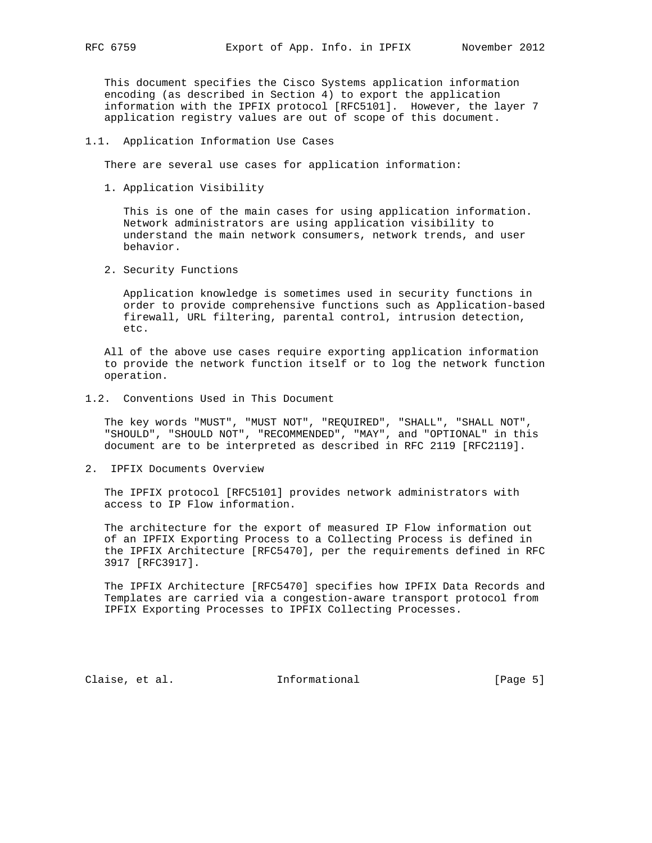This document specifies the Cisco Systems application information encoding (as described in Section 4) to export the application information with the IPFIX protocol [RFC5101]. However, the layer 7 application registry values are out of scope of this document.

#### 1.1. Application Information Use Cases

There are several use cases for application information:

1. Application Visibility

 This is one of the main cases for using application information. Network administrators are using application visibility to understand the main network consumers, network trends, and user behavior.

2. Security Functions

 Application knowledge is sometimes used in security functions in order to provide comprehensive functions such as Application-based firewall, URL filtering, parental control, intrusion detection, etc.

 All of the above use cases require exporting application information to provide the network function itself or to log the network function operation.

1.2. Conventions Used in This Document

 The key words "MUST", "MUST NOT", "REQUIRED", "SHALL", "SHALL NOT", "SHOULD", "SHOULD NOT", "RECOMMENDED", "MAY", and "OPTIONAL" in this document are to be interpreted as described in RFC 2119 [RFC2119].

2. IPFIX Documents Overview

 The IPFIX protocol [RFC5101] provides network administrators with access to IP Flow information.

 The architecture for the export of measured IP Flow information out of an IPFIX Exporting Process to a Collecting Process is defined in the IPFIX Architecture [RFC5470], per the requirements defined in RFC 3917 [RFC3917].

 The IPFIX Architecture [RFC5470] specifies how IPFIX Data Records and Templates are carried via a congestion-aware transport protocol from IPFIX Exporting Processes to IPFIX Collecting Processes.

Claise, et al. 1nformational [Page 5]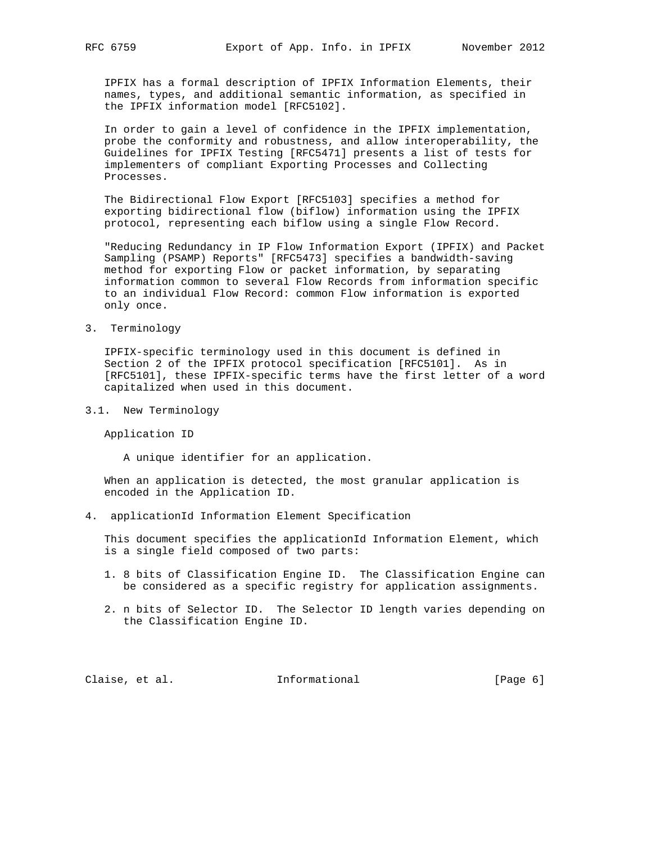IPFIX has a formal description of IPFIX Information Elements, their names, types, and additional semantic information, as specified in the IPFIX information model [RFC5102].

 In order to gain a level of confidence in the IPFIX implementation, probe the conformity and robustness, and allow interoperability, the Guidelines for IPFIX Testing [RFC5471] presents a list of tests for implementers of compliant Exporting Processes and Collecting Processes.

 The Bidirectional Flow Export [RFC5103] specifies a method for exporting bidirectional flow (biflow) information using the IPFIX protocol, representing each biflow using a single Flow Record.

 "Reducing Redundancy in IP Flow Information Export (IPFIX) and Packet Sampling (PSAMP) Reports" [RFC5473] specifies a bandwidth-saving method for exporting Flow or packet information, by separating information common to several Flow Records from information specific to an individual Flow Record: common Flow information is exported only once.

3. Terminology

 IPFIX-specific terminology used in this document is defined in Section 2 of the IPFIX protocol specification [RFC5101]. As in [RFC5101], these IPFIX-specific terms have the first letter of a word capitalized when used in this document.

3.1. New Terminology

Application ID

A unique identifier for an application.

 When an application is detected, the most granular application is encoded in the Application ID.

4. applicationId Information Element Specification

 This document specifies the applicationId Information Element, which is a single field composed of two parts:

- 1. 8 bits of Classification Engine ID. The Classification Engine can be considered as a specific registry for application assignments.
- 2. n bits of Selector ID. The Selector ID length varies depending on the Classification Engine ID.

Claise, et al. 1nformational [Page 6]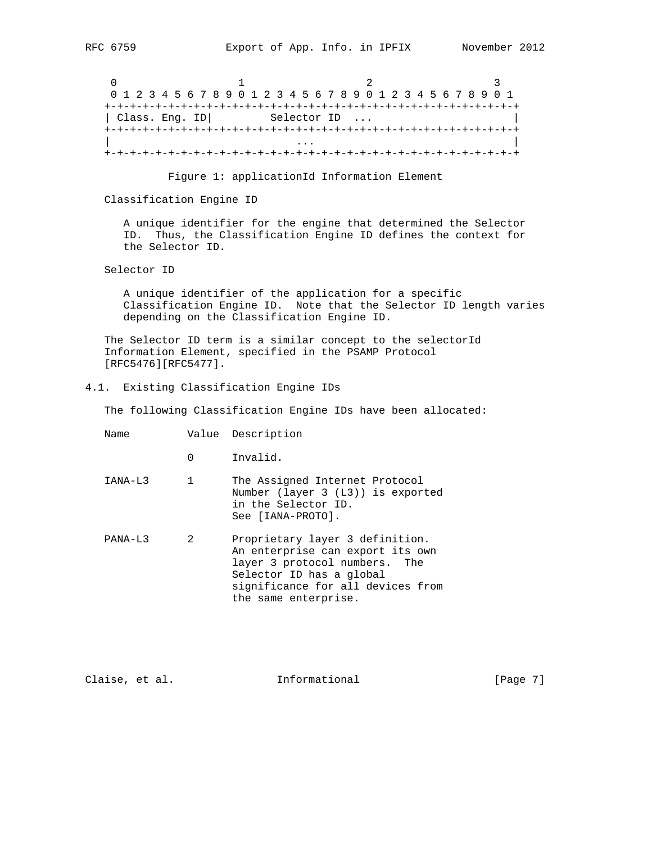0  $1$  2 3 0 1 2 3 4 5 6 7 8 9 0 1 2 3 4 5 6 7 8 9 0 1 2 3 4 5 6 7 8 9 0 1 +-+-+-+-+-+-+-+-+-+-+-+-+-+-+-+-+-+-+-+-+-+-+-+-+-+-+-+-+-+-+-+-+ | Class. Eng. ID| Selector ID ... +-+-+-+-+-+-+-+-+-+-+-+-+-+-+-+-+-+-+-+-+-+-+-+-+-+-+-+-+-+-+-+-+ | ... | ... | ... | ... | ... | ... | ... | ... | ... | ... | ... | ... | ... | ... | ... | ... | ... | ... | . +-+-+-+-+-+-+-+-+-+-+-+-+-+-+-+-+-+-+-+-+-+-+-+-+-+-+-+-+-+-+-+-+

Figure 1: applicationId Information Element

Classification Engine ID

 A unique identifier for the engine that determined the Selector ID. Thus, the Classification Engine ID defines the context for the Selector ID.

Selector ID

 A unique identifier of the application for a specific Classification Engine ID. Note that the Selector ID length varies depending on the Classification Engine ID.

 The Selector ID term is a similar concept to the selectorId Information Element, specified in the PSAMP Protocol [RFC5476][RFC5477].

4.1. Existing Classification Engine IDs

The following Classification Engine IDs have been allocated:

- Name Value Description
	- 0 Invalid.
- IANA-L3 1 The Assigned Internet Protocol Number (layer 3 (L3)) is exported in the Selector ID. See [IANA-PROTO].
- PANA-L3 2 Proprietary layer 3 definition. An enterprise can export its own layer 3 protocol numbers. The Selector ID has a global significance for all devices from the same enterprise.

| Claise, et al. | Informational | [Page 7] |  |
|----------------|---------------|----------|--|
|                |               |          |  |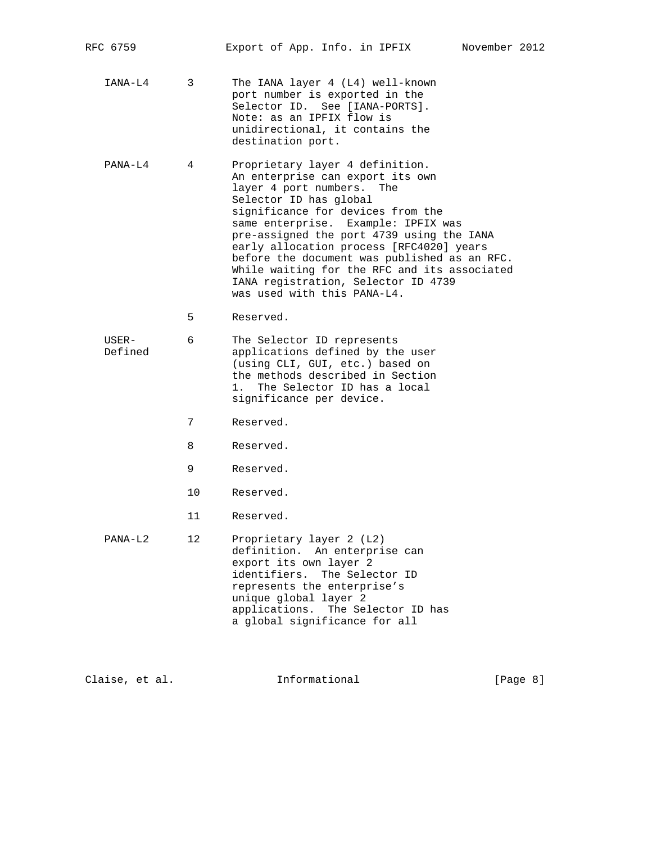| RFC 6759         |    | Export of App. Info. in IPFIX                                                                                                                                                                                                                                                                                                                                                                                                                                            | November 2012 |  |
|------------------|----|--------------------------------------------------------------------------------------------------------------------------------------------------------------------------------------------------------------------------------------------------------------------------------------------------------------------------------------------------------------------------------------------------------------------------------------------------------------------------|---------------|--|
| IANA-L4          | 3  | The IANA layer 4 (L4) well-known<br>port number is exported in the<br>Selector ID. See [IANA-PORTS].<br>Note: as an IPFIX flow is<br>unidirectional, it contains the<br>destination port.                                                                                                                                                                                                                                                                                |               |  |
| PANA-L4          | 4  | Proprietary layer 4 definition.<br>An enterprise can export its own<br>layer 4 port numbers.<br>The<br>Selector ID has global<br>significance for devices from the<br>same enterprise. Example: IPFIX was<br>pre-assigned the port 4739 using the IANA<br>early allocation process [RFC4020] years<br>before the document was published as an RFC.<br>While waiting for the RFC and its associated<br>IANA registration, Selector ID 4739<br>was used with this PANA-L4. |               |  |
|                  | 5  | Reserved.                                                                                                                                                                                                                                                                                                                                                                                                                                                                |               |  |
| USER-<br>Defined | 6  | The Selector ID represents<br>applications defined by the user<br>(using CLI, GUI, etc.) based on<br>the methods described in Section<br>The Selector ID has a local<br>1 <sup>1</sup><br>significance per device.                                                                                                                                                                                                                                                       |               |  |
|                  | 7  | Reserved.                                                                                                                                                                                                                                                                                                                                                                                                                                                                |               |  |
|                  | 8  | Reserved.                                                                                                                                                                                                                                                                                                                                                                                                                                                                |               |  |
|                  | 9  | Reserved.                                                                                                                                                                                                                                                                                                                                                                                                                                                                |               |  |
|                  | 10 | Reserved.                                                                                                                                                                                                                                                                                                                                                                                                                                                                |               |  |
|                  | 11 | Reserved.                                                                                                                                                                                                                                                                                                                                                                                                                                                                |               |  |
| $PANA-L2$        | 12 | Proprietary layer 2 (L2)<br>definition. An enterprise can<br>export its own layer 2<br>identifiers. The Selector ID<br>represents the enterprise's<br>unique global layer 2<br>applications.<br>The Selector ID has<br>a global significance for all                                                                                                                                                                                                                     |               |  |
|                  |    |                                                                                                                                                                                                                                                                                                                                                                                                                                                                          |               |  |

Claise, et al. 1nformational [Page 8]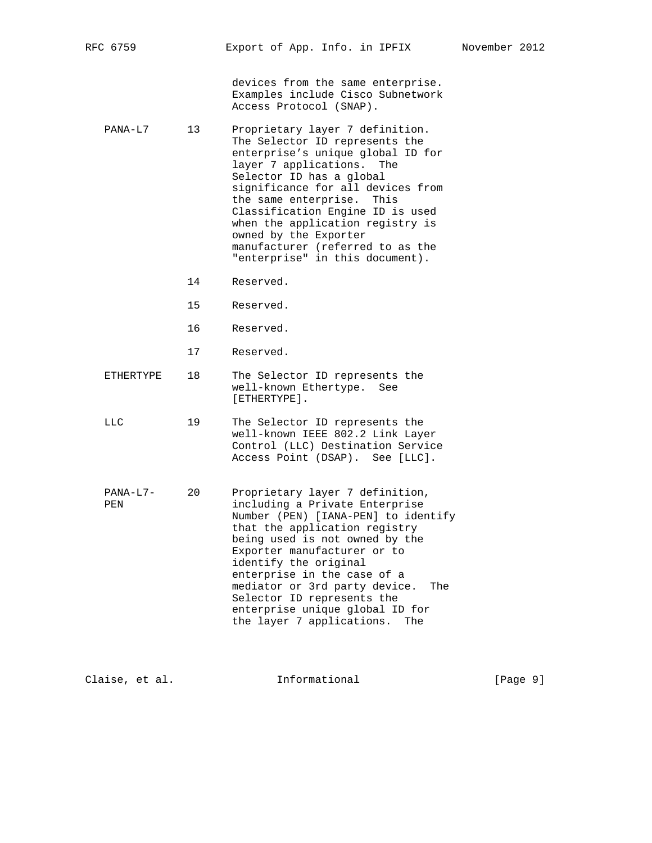|                   |    | devices from the same enterprise.<br>Examples include Cisco Subnetwork<br>Access Protocol (SNAP).                                                                                                                                                                                                                                                                                                               |
|-------------------|----|-----------------------------------------------------------------------------------------------------------------------------------------------------------------------------------------------------------------------------------------------------------------------------------------------------------------------------------------------------------------------------------------------------------------|
| PANA-L7           | 13 | Proprietary layer 7 definition.<br>The Selector ID represents the<br>enterprise's unique global ID for<br>layer 7 applications. The<br>Selector ID has a global<br>significance for all devices from<br>the same enterprise. This<br>Classification Engine ID is used<br>when the application registry is<br>owned by the Exporter<br>manufacturer (referred to as the<br>"enterprise" in this document).       |
|                   | 14 | Reserved.                                                                                                                                                                                                                                                                                                                                                                                                       |
|                   | 15 | Reserved.                                                                                                                                                                                                                                                                                                                                                                                                       |
|                   | 16 | Reserved.                                                                                                                                                                                                                                                                                                                                                                                                       |
|                   | 17 | Reserved.                                                                                                                                                                                                                                                                                                                                                                                                       |
| ETHERTYPE         | 18 | The Selector ID represents the<br>well-known Ethertype.<br>See<br>$[ETHERTYPE]$ .                                                                                                                                                                                                                                                                                                                               |
| LLC.              | 19 | The Selector ID represents the<br>well-known IEEE 802.2 Link Layer<br>Control (LLC) Destination Service<br>Access Point (DSAP). See [LLC].                                                                                                                                                                                                                                                                      |
| $PANA-L7-$<br>PEN | 20 | Proprietary layer 7 definition,<br>including a Private Enterprise<br>Number (PEN) [IANA-PEN] to identify<br>that the application registry<br>being used is not owned by the<br>Exporter manufacturer or to<br>identify the original<br>enterprise in the case of a<br>mediator or 3rd party device.<br>The<br>Selector ID represents the<br>enterprise unique global ID for<br>the layer 7 applications.<br>The |

| Claise, et al. | Informational | [Page 9] |
|----------------|---------------|----------|
|                |               |          |

RFC 6759 Export of App. Info. in IPFIX November 2012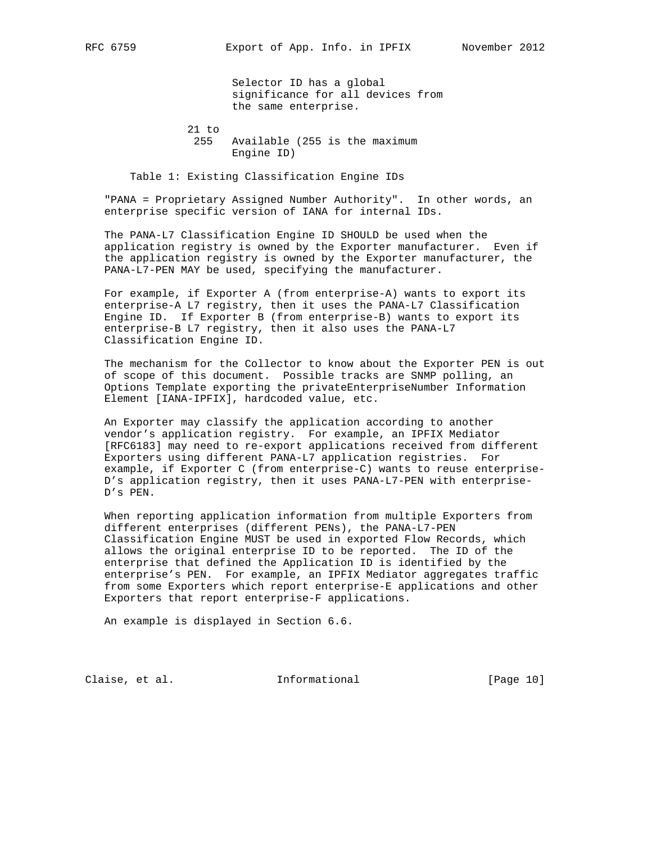Selector ID has a global significance for all devices from the same enterprise.

 21 to 255 Available (255 is the maximum Engine ID)

Table 1: Existing Classification Engine IDs

 "PANA = Proprietary Assigned Number Authority". In other words, an enterprise specific version of IANA for internal IDs.

 The PANA-L7 Classification Engine ID SHOULD be used when the application registry is owned by the Exporter manufacturer. Even if the application registry is owned by the Exporter manufacturer, the PANA-L7-PEN MAY be used, specifying the manufacturer.

 For example, if Exporter A (from enterprise-A) wants to export its enterprise-A L7 registry, then it uses the PANA-L7 Classification Engine ID. If Exporter B (from enterprise-B) wants to export its enterprise-B L7 registry, then it also uses the PANA-L7 Classification Engine ID.

 The mechanism for the Collector to know about the Exporter PEN is out of scope of this document. Possible tracks are SNMP polling, an Options Template exporting the privateEnterpriseNumber Information Element [IANA-IPFIX], hardcoded value, etc.

 An Exporter may classify the application according to another vendor's application registry. For example, an IPFIX Mediator [RFC6183] may need to re-export applications received from different Exporters using different PANA-L7 application registries. For example, if Exporter C (from enterprise-C) wants to reuse enterprise- D's application registry, then it uses PANA-L7-PEN with enterprise- D's PEN.

 When reporting application information from multiple Exporters from different enterprises (different PENs), the PANA-L7-PEN Classification Engine MUST be used in exported Flow Records, which allows the original enterprise ID to be reported. The ID of the enterprise that defined the Application ID is identified by the enterprise's PEN. For example, an IPFIX Mediator aggregates traffic from some Exporters which report enterprise-E applications and other Exporters that report enterprise-F applications.

An example is displayed in Section 6.6.

Claise, et al. 1nformational [Page 10]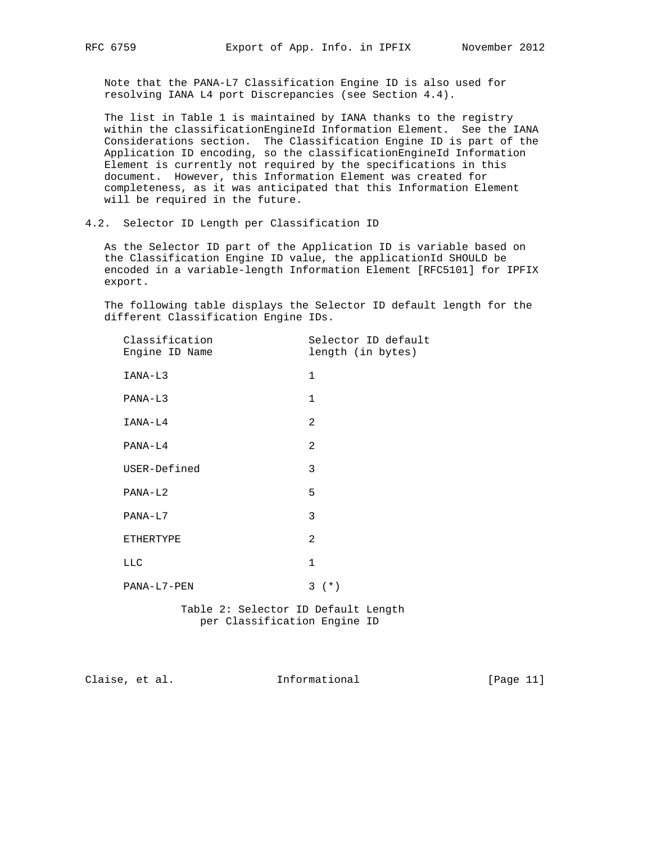Note that the PANA-L7 Classification Engine ID is also used for resolving IANA L4 port Discrepancies (see Section 4.4).

 The list in Table 1 is maintained by IANA thanks to the registry within the classificationEngineId Information Element. See the IANA Considerations section. The Classification Engine ID is part of the Application ID encoding, so the classificationEngineId Information Element is currently not required by the specifications in this document. However, this Information Element was created for completeness, as it was anticipated that this Information Element will be required in the future.

4.2. Selector ID Length per Classification ID

 As the Selector ID part of the Application ID is variable based on the Classification Engine ID value, the applicationId SHOULD be encoded in a variable-length Information Element [RFC5101] for IPFIX export.

 The following table displays the Selector ID default length for the different Classification Engine IDs.

| Classification<br>Engine ID Name | Selector ID default<br>length (in bytes) |
|----------------------------------|------------------------------------------|
| IANA-L3                          | $\mathbf{1}$                             |
| PANA-L3                          | $\mathbf{1}$                             |
| IANA-L4                          | 2                                        |
| PANA-L4                          | 2                                        |
| USER-Defined                     | 3                                        |
| PANA-L2                          | 5                                        |
| PANA-L7                          | 3                                        |
| ETHERTYPE                        | $\mathfrak{D}$                           |
| <b>LLC</b>                       | $\mathbf{1}$                             |
| PANA-L7-PEN                      | $3^{(*)}$                                |

 Table 2: Selector ID Default Length per Classification Engine ID

Claise, et al. 1nformational [Page 11]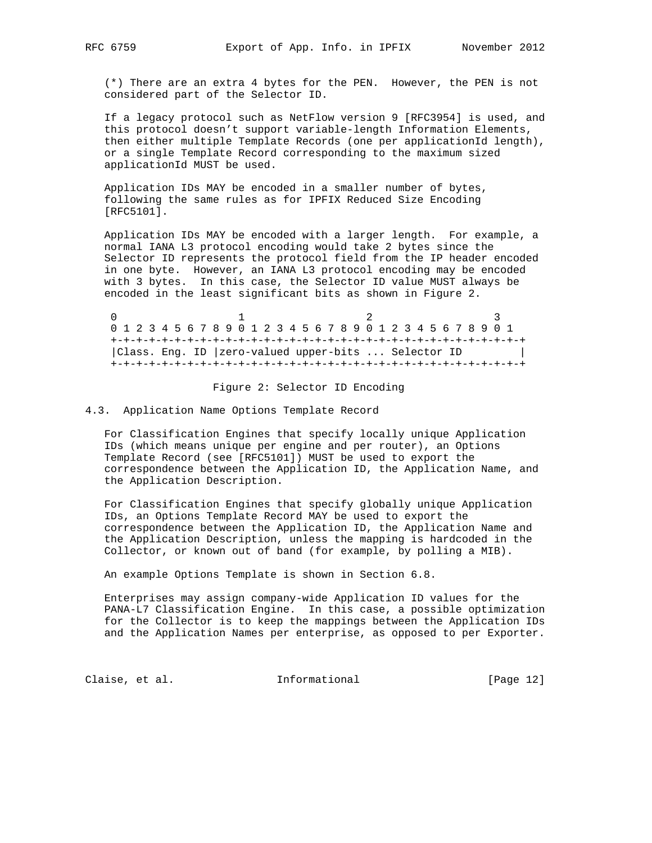(\*) There are an extra 4 bytes for the PEN. However, the PEN is not considered part of the Selector ID.

 If a legacy protocol such as NetFlow version 9 [RFC3954] is used, and this protocol doesn't support variable-length Information Elements, then either multiple Template Records (one per applicationId length), or a single Template Record corresponding to the maximum sized applicationId MUST be used.

 Application IDs MAY be encoded in a smaller number of bytes, following the same rules as for IPFIX Reduced Size Encoding [RFC5101].

 Application IDs MAY be encoded with a larger length. For example, a normal IANA L3 protocol encoding would take 2 bytes since the Selector ID represents the protocol field from the IP header encoded in one byte. However, an IANA L3 protocol encoding may be encoded with 3 bytes. In this case, the Selector ID value MUST always be encoded in the least significant bits as shown in Figure 2.

0  $1$  2 3 0 1 2 3 4 5 6 7 8 9 0 1 2 3 4 5 6 7 8 9 0 1 2 3 4 5 6 7 8 9 0 1 +-+-+-+-+-+-+-+-+-+-+-+-+-+-+-+-+-+-+-+-+-+-+-+-+-+-+-+-+-+-+-+-+ |Class. Eng. ID |zero-valued upper-bits ... Selector ID | +-+-+-+-+-+-+-+-+-+-+-+-+-+-+-+-+-+-+-+-+-+-+-+-+-+-+-+-+-+-+-+-+

#### Figure 2: Selector ID Encoding

4.3. Application Name Options Template Record

 For Classification Engines that specify locally unique Application IDs (which means unique per engine and per router), an Options Template Record (see [RFC5101]) MUST be used to export the correspondence between the Application ID, the Application Name, and the Application Description.

 For Classification Engines that specify globally unique Application IDs, an Options Template Record MAY be used to export the correspondence between the Application ID, the Application Name and the Application Description, unless the mapping is hardcoded in the Collector, or known out of band (for example, by polling a MIB).

An example Options Template is shown in Section 6.8.

 Enterprises may assign company-wide Application ID values for the PANA-L7 Classification Engine. In this case, a possible optimization for the Collector is to keep the mappings between the Application IDs and the Application Names per enterprise, as opposed to per Exporter.

Claise, et al. 1nformational [Page 12]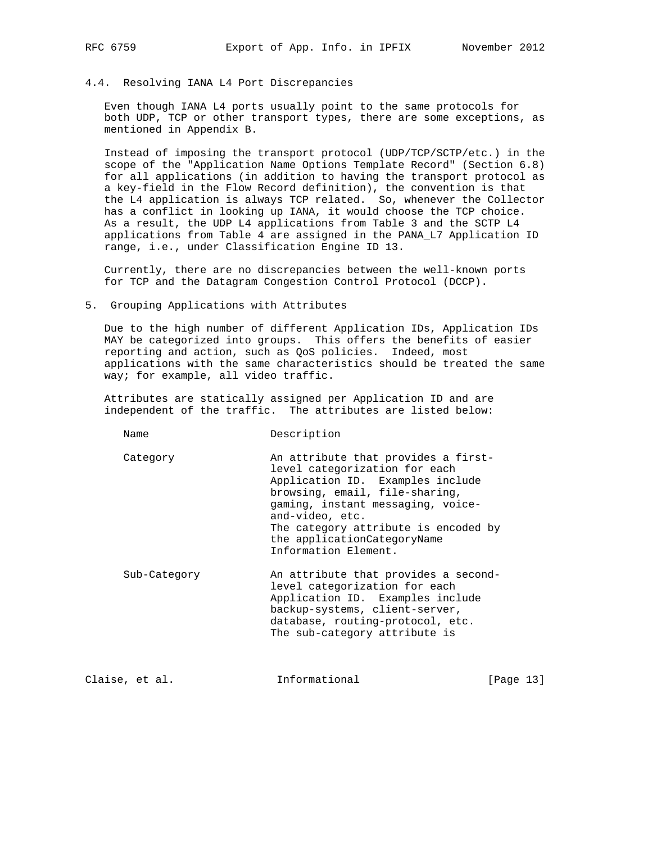# 4.4. Resolving IANA L4 Port Discrepancies

 Even though IANA L4 ports usually point to the same protocols for both UDP, TCP or other transport types, there are some exceptions, as mentioned in Appendix B.

 Instead of imposing the transport protocol (UDP/TCP/SCTP/etc.) in the scope of the "Application Name Options Template Record" (Section 6.8) for all applications (in addition to having the transport protocol as a key-field in the Flow Record definition), the convention is that the L4 application is always TCP related. So, whenever the Collector has a conflict in looking up IANA, it would choose the TCP choice. As a result, the UDP L4 applications from Table 3 and the SCTP L4 applications from Table 4 are assigned in the PANA\_L7 Application ID range, i.e., under Classification Engine ID 13.

 Currently, there are no discrepancies between the well-known ports for TCP and the Datagram Congestion Control Protocol (DCCP).

5. Grouping Applications with Attributes

 Due to the high number of different Application IDs, Application IDs MAY be categorized into groups. This offers the benefits of easier reporting and action, such as QoS policies. Indeed, most applications with the same characteristics should be treated the same way; for example, all video traffic.

 Attributes are statically assigned per Application ID and are independent of the traffic. The attributes are listed below:

| Name         | Description                                                                                                                                                                                                                                                                                       |
|--------------|---------------------------------------------------------------------------------------------------------------------------------------------------------------------------------------------------------------------------------------------------------------------------------------------------|
| Category     | An attribute that provides a first-<br>level categorization for each<br>Application ID. Examples include<br>browsing, email, file-sharing,<br>gaming, instant messaging, voice-<br>and-video, etc.<br>The category attribute is encoded by<br>the applicationCategoryName<br>Information Element. |
| Sub-Category | An attribute that provides a second-                                                                                                                                                                                                                                                              |

 level categorization for each Application ID. Examples include backup-systems, client-server, database, routing-protocol, etc. The sub-category attribute is

Claise, et al. Informational [Page 13]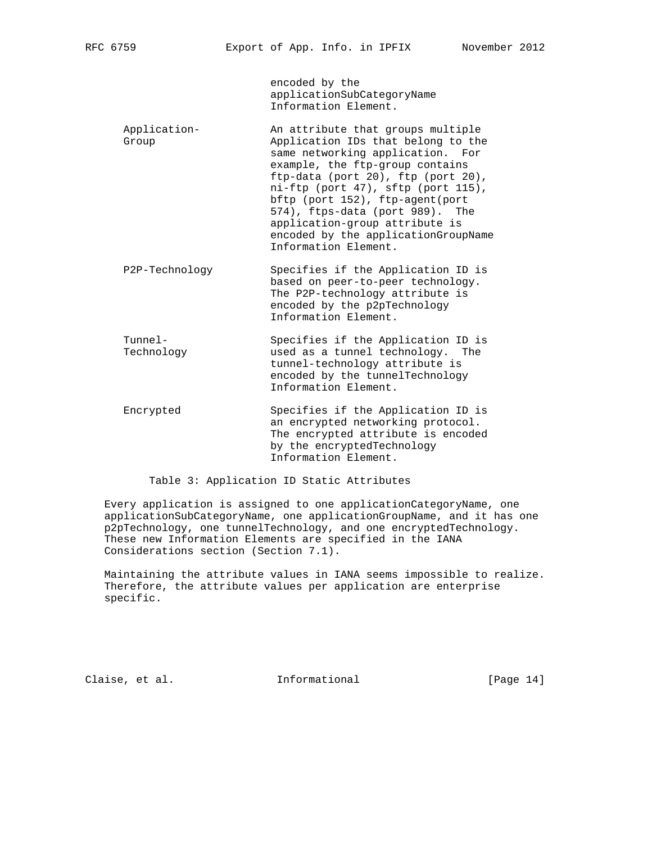encoded by the applicationSubCategoryName Information Element.

- Application- An attribute that groups multiple Group **Application IDs** that belong to the same networking application. For example, the ftp-group contains ftp-data (port 20), ftp (port 20), ni-ftp (port 47), sftp (port 115), bftp (port 152), ftp-agent(port 574), ftps-data (port 989). The application-group attribute is encoded by the applicationGroupName Information Element.
- P2P-Technology Specifies if the Application ID is based on peer-to-peer technology. The P2P-technology attribute is encoded by the p2pTechnology Information Element.
- Tunnel- Specifies if the Application ID is Technology used as a tunnel technology. The tunnel-technology attribute is encoded by the tunnelTechnology Information Element.
- Encrypted Specifies if the Application ID is an encrypted networking protocol. The encrypted attribute is encoded by the encryptedTechnology Information Element.

Table 3: Application ID Static Attributes

 Every application is assigned to one applicationCategoryName, one applicationSubCategoryName, one applicationGroupName, and it has one p2pTechnology, one tunnelTechnology, and one encryptedTechnology. These new Information Elements are specified in the IANA Considerations section (Section 7.1).

 Maintaining the attribute values in IANA seems impossible to realize. Therefore, the attribute values per application are enterprise specific.

Claise, et al. Informational [Page 14]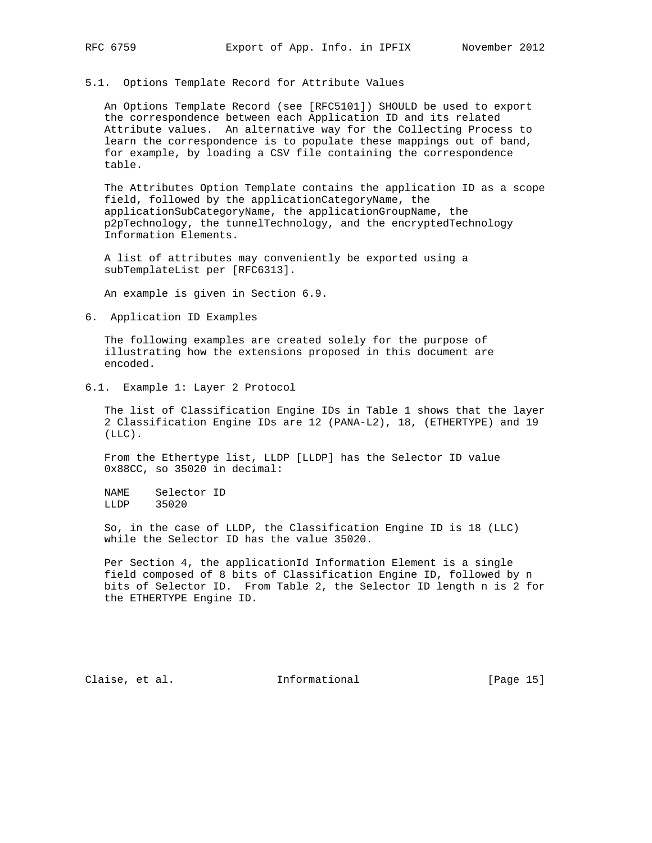### 5.1. Options Template Record for Attribute Values

 An Options Template Record (see [RFC5101]) SHOULD be used to export the correspondence between each Application ID and its related Attribute values. An alternative way for the Collecting Process to learn the correspondence is to populate these mappings out of band, for example, by loading a CSV file containing the correspondence table.

 The Attributes Option Template contains the application ID as a scope field, followed by the applicationCategoryName, the applicationSubCategoryName, the applicationGroupName, the p2pTechnology, the tunnelTechnology, and the encryptedTechnology Information Elements.

 A list of attributes may conveniently be exported using a subTemplateList per [RFC6313].

An example is given in Section 6.9.

6. Application ID Examples

 The following examples are created solely for the purpose of illustrating how the extensions proposed in this document are encoded.

6.1. Example 1: Layer 2 Protocol

 The list of Classification Engine IDs in Table 1 shows that the layer 2 Classification Engine IDs are 12 (PANA-L2), 18, (ETHERTYPE) and 19 (LLC).

 From the Ethertype list, LLDP [LLDP] has the Selector ID value 0x88CC, so 35020 in decimal:

 NAME Selector ID LLDP 35020

 So, in the case of LLDP, the Classification Engine ID is 18 (LLC) while the Selector ID has the value 35020.

 Per Section 4, the applicationId Information Element is a single field composed of 8 bits of Classification Engine ID, followed by n bits of Selector ID. From Table 2, the Selector ID length n is 2 for the ETHERTYPE Engine ID.

Claise, et al. 1nformational [Page 15]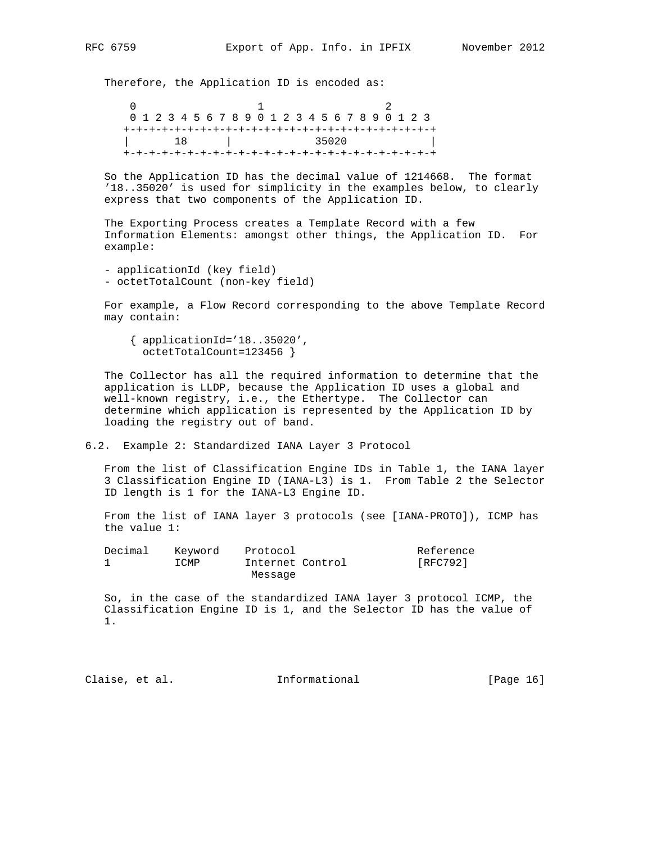Therefore, the Application ID is encoded as:

 $0$  and  $1$  2 0 1 2 3 4 5 6 7 8 9 0 1 2 3 4 5 6 7 8 9 0 1 2 3 +-+-+-+-+-+-+-+-+-+-+-+-+-+-+-+-+-+-+-+-+-+-+-+-+ | 18 | 35020 | +-+-+-+-+-+-+-+-+-+-+-+-+-+-+-+-+-+-+-+-+-+-+-+-+

 So the Application ID has the decimal value of 1214668. The format '18..35020' is used for simplicity in the examples below, to clearly express that two components of the Application ID.

 The Exporting Process creates a Template Record with a few Information Elements: amongst other things, the Application ID. For example:

 - applicationId (key field) - octetTotalCount (non-key field)

 For example, a Flow Record corresponding to the above Template Record may contain:

 { applicationId='18..35020', octetTotalCount=123456 }

 The Collector has all the required information to determine that the application is LLDP, because the Application ID uses a global and well-known registry, i.e., the Ethertype. The Collector can determine which application is represented by the Application ID by loading the registry out of band.

6.2. Example 2: Standardized IANA Layer 3 Protocol

 From the list of Classification Engine IDs in Table 1, the IANA layer 3 Classification Engine ID (IANA-L3) is 1. From Table 2 the Selector ID length is 1 for the IANA-L3 Engine ID.

 From the list of IANA layer 3 protocols (see [IANA-PROTO]), ICMP has the value 1:

| Decimal | Kevword | Protocol         | Reference |
|---------|---------|------------------|-----------|
|         | ICMP    | Internet Control | [RFC792]  |
|         |         | Message          |           |

 So, in the case of the standardized IANA layer 3 protocol ICMP, the Classification Engine ID is 1, and the Selector ID has the value of 1.

Claise, et al. 1nformational [Page 16]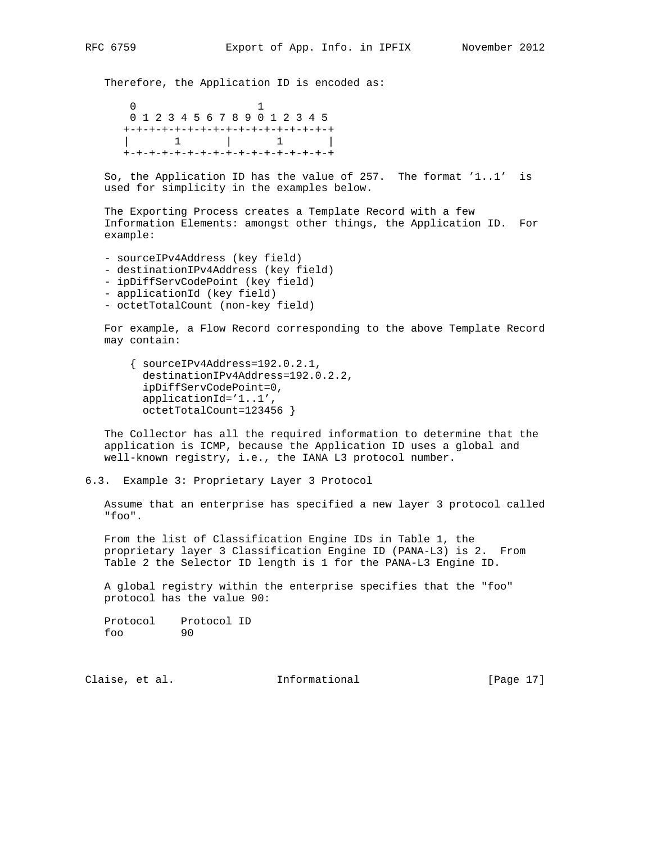Therefore, the Application ID is encoded as:

 $\sim$  0  $\sim$  1 0 1 2 3 4 5 6 7 8 9 0 1 2 3 4 5 +-+-+-+-+-+-+-+-+-+-+-+-+-+-+-+-+ | 1 | 1 | +-+-+-+-+-+-+-+-+-+-+-+-+-+-+-+-+

 So, the Application ID has the value of 257. The format '1..1' is used for simplicity in the examples below.

 The Exporting Process creates a Template Record with a few Information Elements: amongst other things, the Application ID. For example:

- sourceIPv4Address (key field)
- destinationIPv4Address (key field)
- ipDiffServCodePoint (key field)
- applicationId (key field)
- octetTotalCount (non-key field)

 For example, a Flow Record corresponding to the above Template Record may contain:

 { sourceIPv4Address=192.0.2.1, destinationIPv4Address=192.0.2.2, ipDiffServCodePoint=0, applicationId='1..1', octetTotalCount=123456 }

 The Collector has all the required information to determine that the application is ICMP, because the Application ID uses a global and well-known registry, i.e., the IANA L3 protocol number.

6.3. Example 3: Proprietary Layer 3 Protocol

 Assume that an enterprise has specified a new layer 3 protocol called "foo".

 From the list of Classification Engine IDs in Table 1, the proprietary layer 3 Classification Engine ID (PANA-L3) is 2. From Table 2 the Selector ID length is 1 for the PANA-L3 Engine ID.

 A global registry within the enterprise specifies that the "foo" protocol has the value 90:

Protocol Protocol ID<br>foo 90 foo 90

Claise, et al. 1nformational [Page 17]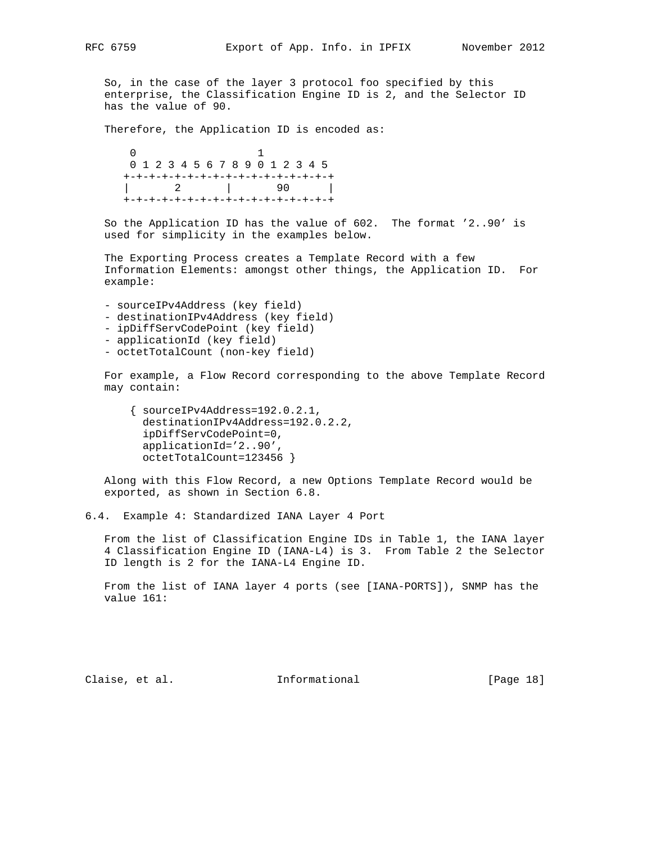So, in the case of the layer 3 protocol foo specified by this enterprise, the Classification Engine ID is 2, and the Selector ID has the value of 90.

Therefore, the Application ID is encoded as:

 $\sim$  0  $\sim$  1 0 1 2 3 4 5 6 7 8 9 0 1 2 3 4 5 +-+-+-+-+-+-+-+-+-+-+-+-+-+-+-+-+ | 2 | 90 | +-+-+-+-+-+-+-+-+-+-+-+-+-+-+-+-+

 So the Application ID has the value of 602. The format '2..90' is used for simplicity in the examples below.

 The Exporting Process creates a Template Record with a few Information Elements: amongst other things, the Application ID. For example:

- sourceIPv4Address (key field) - destinationIPv4Address (key field)
- ipDiffServCodePoint (key field)
- applicationId (key field)
- octetTotalCount (non-key field)

 For example, a Flow Record corresponding to the above Template Record may contain:

```
 { sourceIPv4Address=192.0.2.1,
  destinationIPv4Address=192.0.2.2,
  ipDiffServCodePoint=0,
  applicationId='2..90',
  octetTotalCount=123456 }
```
 Along with this Flow Record, a new Options Template Record would be exported, as shown in Section 6.8.

6.4. Example 4: Standardized IANA Layer 4 Port

 From the list of Classification Engine IDs in Table 1, the IANA layer 4 Classification Engine ID (IANA-L4) is 3. From Table 2 the Selector ID length is 2 for the IANA-L4 Engine ID.

 From the list of IANA layer 4 ports (see [IANA-PORTS]), SNMP has the value 161:

Claise, et al. 1nformational [Page 18]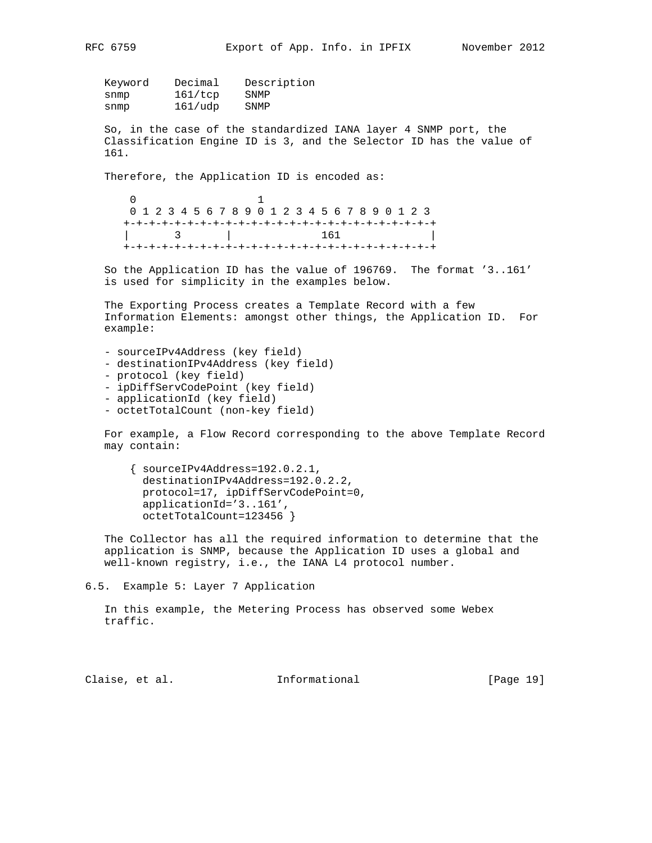| RFC | 6759 |
|-----|------|
|     |      |

| Decimal | Description |
|---------|-------------|
| 161/top | SNMP        |
| 161/udp | SNMP        |
|         |             |

 So, in the case of the standardized IANA layer 4 SNMP port, the Classification Engine ID is 3, and the Selector ID has the value of 161.

Therefore, the Application ID is encoded as:

 $\sim$  0  $\sim$  1 0 1 2 3 4 5 6 7 8 9 0 1 2 3 4 5 6 7 8 9 0 1 2 3 +-+-+-+-+-+-+-+-+-+-+-+-+-+-+-+-+-+-+-+-+-+-+-+-+ | 3 | 161 | +-+-+-+-+-+-+-+-+-+-+-+-+-+-+-+-+-+-+-+-+-+-+-+-+

 So the Application ID has the value of 196769. The format '3..161' is used for simplicity in the examples below.

 The Exporting Process creates a Template Record with a few Information Elements: amongst other things, the Application ID. For example:

- sourceIPv4Address (key field) - destinationIPv4Address (key field) - protocol (key field) - ipDiffServCodePoint (key field) - applicationId (key field)
- octetTotalCount (non-key field)

 For example, a Flow Record corresponding to the above Template Record may contain:

 { sourceIPv4Address=192.0.2.1, destinationIPv4Address=192.0.2.2, protocol=17, ipDiffServCodePoint=0, applicationId='3..161', octetTotalCount=123456 }

 The Collector has all the required information to determine that the application is SNMP, because the Application ID uses a global and well-known registry, i.e., the IANA L4 protocol number.

6.5. Example 5: Layer 7 Application

 In this example, the Metering Process has observed some Webex traffic.

Claise, et al. Informational [Page 19]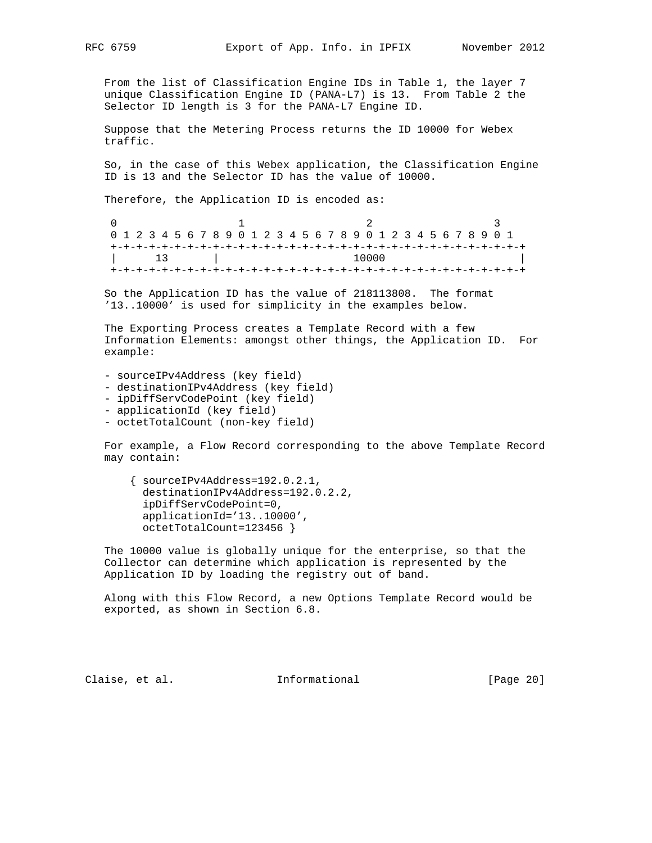From the list of Classification Engine IDs in Table 1, the layer 7 unique Classification Engine ID (PANA-L7) is 13. From Table 2 the Selector ID length is 3 for the PANA-L7 Engine ID.

 Suppose that the Metering Process returns the ID 10000 for Webex traffic.

 So, in the case of this Webex application, the Classification Engine ID is 13 and the Selector ID has the value of 10000.

Therefore, the Application ID is encoded as:

|  |  | 0 1 2 3 4 5 6 7 8 9 0 1 2 3 4 5 6 7 8 9 0 1 2 3 4 5 6 7 8 9 0 1 |  |
|--|--|-----------------------------------------------------------------|--|
|  |  |                                                                 |  |
|  |  | 10000                                                           |  |

 So the Application ID has the value of 218113808. The format '13..10000' is used for simplicity in the examples below.

 The Exporting Process creates a Template Record with a few Information Elements: amongst other things, the Application ID. For example:

- sourceIPv4Address (key field) - destinationIPv4Address (key field) - ipDiffServCodePoint (key field) - applicationId (key field)
- octetTotalCount (non-key field)

 For example, a Flow Record corresponding to the above Template Record may contain:

 { sourceIPv4Address=192.0.2.1, destinationIPv4Address=192.0.2.2, ipDiffServCodePoint=0, applicationId='13..10000', octetTotalCount=123456 }

 The 10000 value is globally unique for the enterprise, so that the Collector can determine which application is represented by the Application ID by loading the registry out of band.

 Along with this Flow Record, a new Options Template Record would be exported, as shown in Section 6.8.

Claise, et al. Informational [Page 20]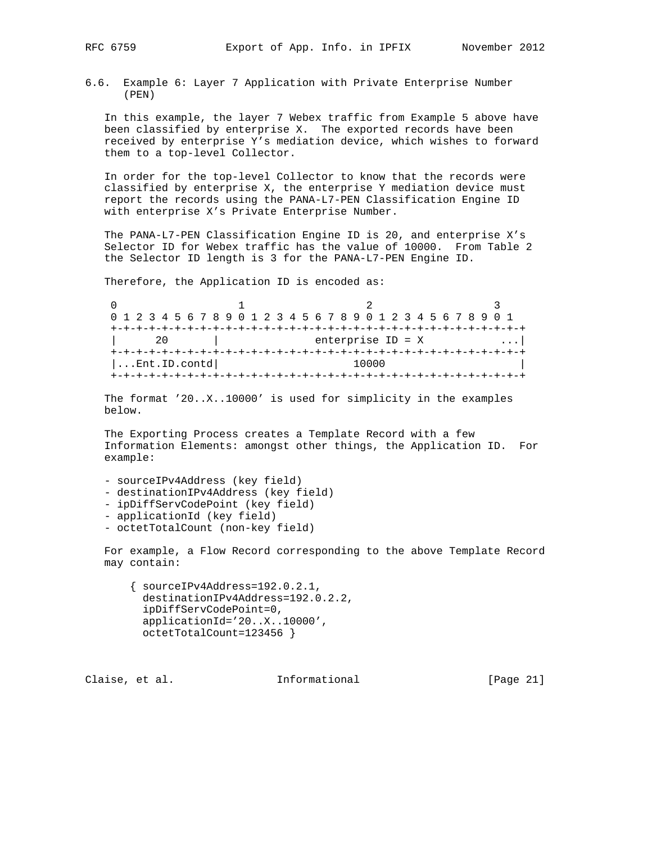6.6. Example 6: Layer 7 Application with Private Enterprise Number (PEN)

 In this example, the layer 7 Webex traffic from Example 5 above have been classified by enterprise X. The exported records have been received by enterprise Y's mediation device, which wishes to forward them to a top-level Collector.

 In order for the top-level Collector to know that the records were classified by enterprise X, the enterprise Y mediation device must report the records using the PANA-L7-PEN Classification Engine ID with enterprise X's Private Enterprise Number.

 The PANA-L7-PEN Classification Engine ID is 20, and enterprise X's Selector ID for Webex traffic has the value of 10000. From Table 2 the Selector ID length is 3 for the PANA-L7-PEN Engine ID.

Therefore, the Application ID is encoded as:

0  $1$  2 3 0 1 2 3 4 5 6 7 8 9 0 1 2 3 4 5 6 7 8 9 0 1 2 3 4 5 6 7 8 9 0 1 +-+-+-+-+-+-+-+-+-+-+-+-+-+-+-+-+-+-+-+-+-+-+-+-+-+-+-+-+-+-+-+-+ | 20 | enterprise ID = X ...| +-+-+-+-+-+-+-+-+-+-+-+-+-+-+-+-+-+-+-+-+-+-+-+-+-+-+-+-+-+-+-+-+ |...Ent.ID.contd| 10000 +-+-+-+-+-+-+-+-+-+-+-+-+-+-+-+-+-+-+-+-+-+-+-+-+-+-+-+-+-+-+-+-+

 The format '20..X..10000' is used for simplicity in the examples below.

 The Exporting Process creates a Template Record with a few Information Elements: amongst other things, the Application ID. For example:

- sourceIPv4Address (key field) - destinationIPv4Address (key field)
- ipDiffServCodePoint (key field)
- applicationId (key field)
- octetTotalCount (non-key field)

 For example, a Flow Record corresponding to the above Template Record may contain:

 $\{ sourceIPv4Address=192.0.2.1,$  destinationIPv4Address=192.0.2.2, ipDiffServCodePoint=0, applicationId='20..X..10000', octetTotalCount=123456 }

Claise, et al. 1nformational [Page 21]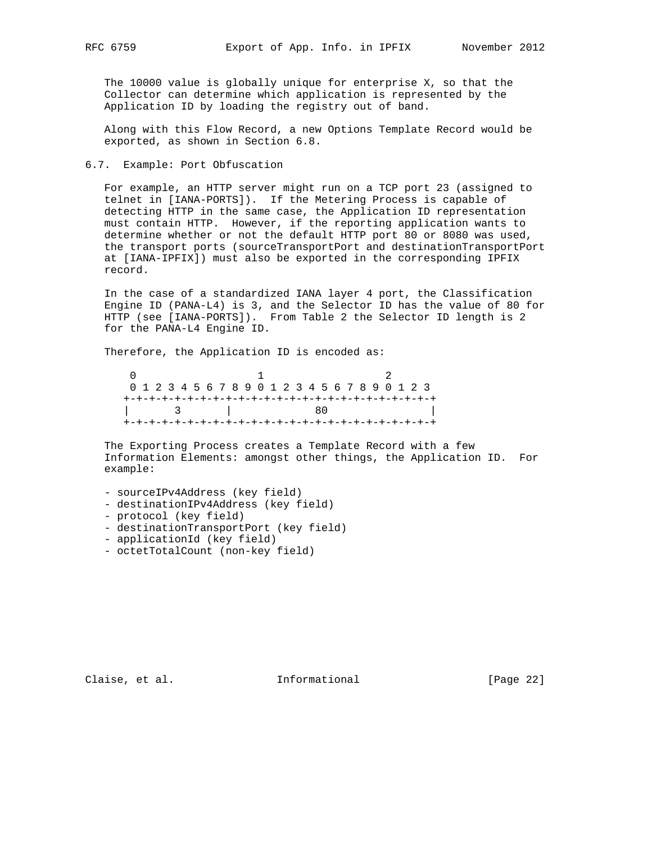The 10000 value is globally unique for enterprise X, so that the Collector can determine which application is represented by the Application ID by loading the registry out of band.

 Along with this Flow Record, a new Options Template Record would be exported, as shown in Section 6.8.

### 6.7. Example: Port Obfuscation

 For example, an HTTP server might run on a TCP port 23 (assigned to telnet in [IANA-PORTS]). If the Metering Process is capable of detecting HTTP in the same case, the Application ID representation must contain HTTP. However, if the reporting application wants to determine whether or not the default HTTP port 80 or 8080 was used, the transport ports (sourceTransportPort and destinationTransportPort at [IANA-IPFIX]) must also be exported in the corresponding IPFIX record.

 In the case of a standardized IANA layer 4 port, the Classification Engine ID (PANA-L4) is 3, and the Selector ID has the value of 80 for HTTP (see [IANA-PORTS]). From Table 2 the Selector ID length is 2 for the PANA-L4 Engine ID.

Therefore, the Application ID is encoded as:

 $0$  1 2 0 1 2 3 4 5 6 7 8 9 0 1 2 3 4 5 6 7 8 9 0 1 2 3 +-+-+-+-+-+-+-+-+-+-+-+-+-+-+-+-+-+-+-+-+-+-+-+-+ | 3 | 80 | +-+-+-+-+-+-+-+-+-+-+-+-+-+-+-+-+-+-+-+-+-+-+-+-+

 The Exporting Process creates a Template Record with a few Information Elements: amongst other things, the Application ID. For example:

- sourceIPv4Address (key field)
- destinationIPv4Address (key field)
- protocol (key field)
- destinationTransportPort (key field)
- applicationId (key field)
- octetTotalCount (non-key field)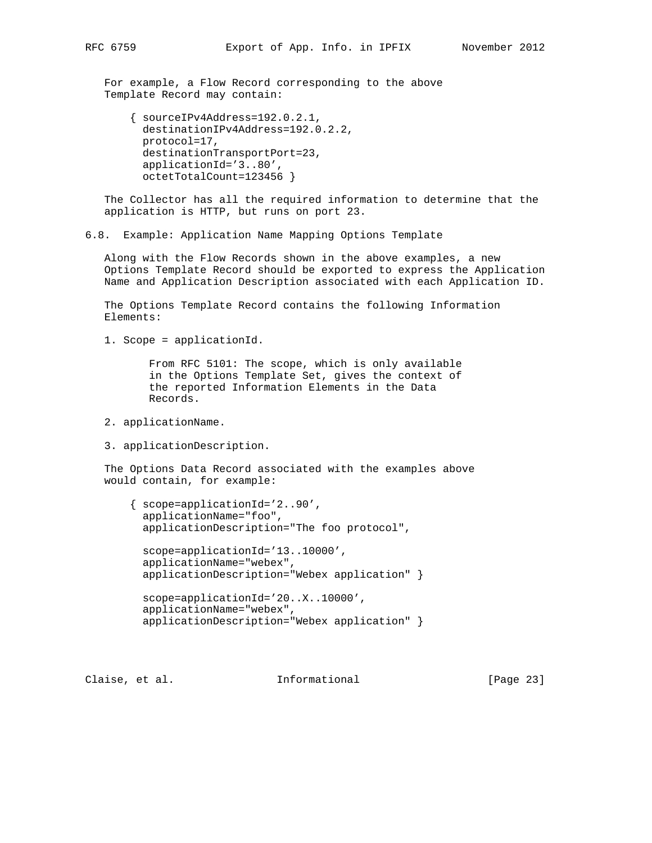For example, a Flow Record corresponding to the above Template Record may contain:

```
 { sourceIPv4Address=192.0.2.1,
  destinationIPv4Address=192.0.2.2,
  protocol=17,
  destinationTransportPort=23,
  applicationId='3..80',
  octetTotalCount=123456 }
```
 The Collector has all the required information to determine that the application is HTTP, but runs on port 23.

6.8. Example: Application Name Mapping Options Template

 Along with the Flow Records shown in the above examples, a new Options Template Record should be exported to express the Application Name and Application Description associated with each Application ID.

 The Options Template Record contains the following Information Elements:

1. Scope = applicationId.

 From RFC 5101: The scope, which is only available in the Options Template Set, gives the context of the reported Information Elements in the Data Records.

- 2. applicationName.
- 3. applicationDescription.

 The Options Data Record associated with the examples above would contain, for example:

 { scope=applicationId='2..90', applicationName="foo", applicationDescription="The foo protocol", scope=applicationId='13..10000', applicationName="webex", applicationDescription="Webex application" }

```
 scope=applicationId='20..X..10000',
 applicationName="webex",
 applicationDescription="Webex application" }
```
Claise, et al. Informational [Page 23]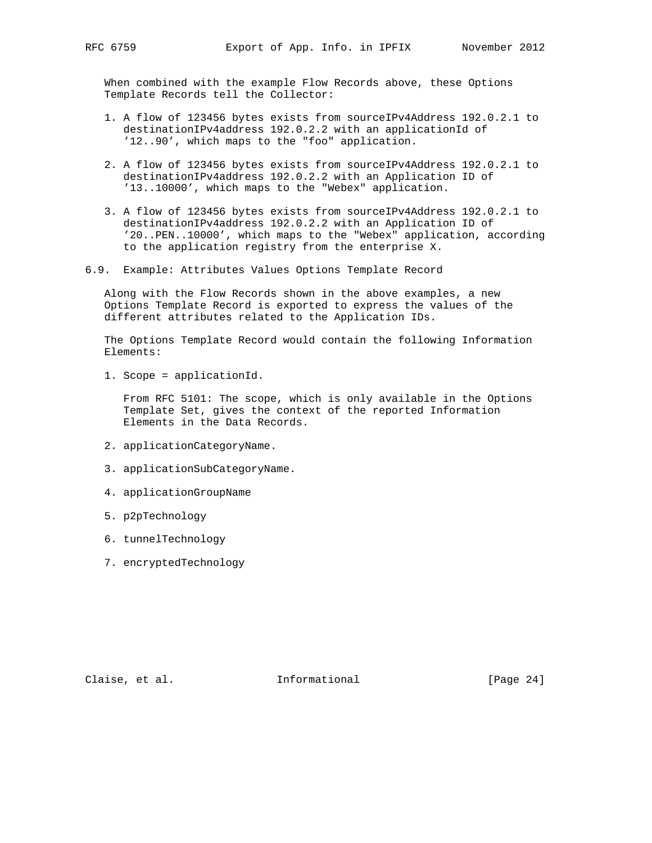When combined with the example Flow Records above, these Options Template Records tell the Collector:

- 1. A flow of 123456 bytes exists from sourceIPv4Address 192.0.2.1 to destinationIPv4address 192.0.2.2 with an applicationId of '12..90', which maps to the "foo" application.
- 2. A flow of 123456 bytes exists from sourceIPv4Address 192.0.2.1 to destinationIPv4address 192.0.2.2 with an Application ID of '13..10000', which maps to the "Webex" application.
- 3. A flow of 123456 bytes exists from sourceIPv4Address 192.0.2.1 to destinationIPv4address 192.0.2.2 with an Application ID of '20..PEN..10000', which maps to the "Webex" application, according to the application registry from the enterprise X.
- 6.9. Example: Attributes Values Options Template Record

 Along with the Flow Records shown in the above examples, a new Options Template Record is exported to express the values of the different attributes related to the Application IDs.

 The Options Template Record would contain the following Information Elements:

1. Scope = applicationId.

 From RFC 5101: The scope, which is only available in the Options Template Set, gives the context of the reported Information Elements in the Data Records.

- 2. applicationCategoryName.
- 3. applicationSubCategoryName.
- 4. applicationGroupName
- 5. p2pTechnology
- 6. tunnelTechnology
- 7. encryptedTechnology

Claise, et al. 1nformational [Page 24]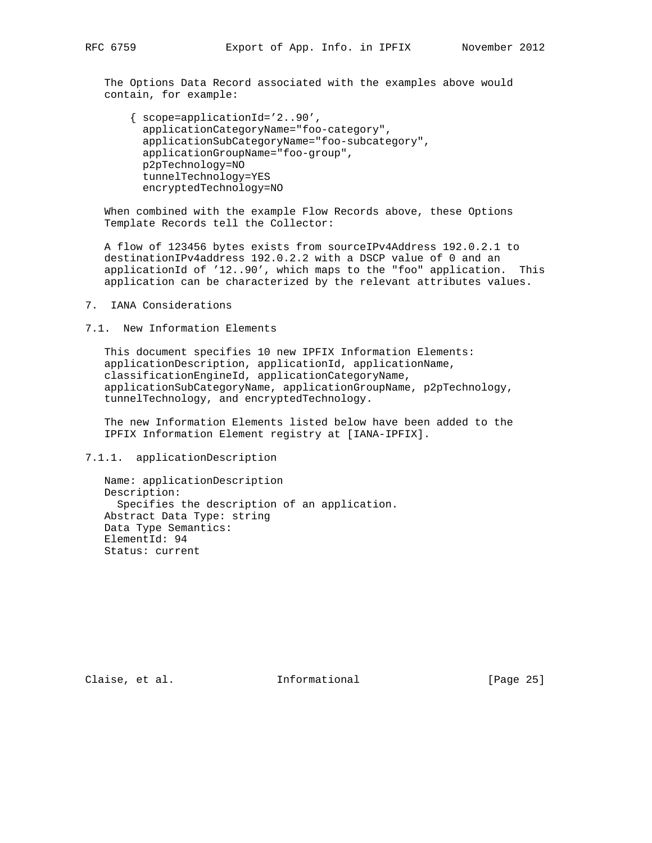The Options Data Record associated with the examples above would contain, for example:

 { scope=applicationId='2..90', applicationCategoryName="foo-category", applicationSubCategoryName="foo-subcategory", applicationGroupName="foo-group", p2pTechnology=NO tunnelTechnology=YES encryptedTechnology=NO

 When combined with the example Flow Records above, these Options Template Records tell the Collector:

 A flow of 123456 bytes exists from sourceIPv4Address 192.0.2.1 to destinationIPv4address 192.0.2.2 with a DSCP value of 0 and an applicationId of '12..90', which maps to the "foo" application. This application can be characterized by the relevant attributes values.

7. IANA Considerations

7.1. New Information Elements

 This document specifies 10 new IPFIX Information Elements: applicationDescription, applicationId, applicationName, classificationEngineId, applicationCategoryName, applicationSubCategoryName, applicationGroupName, p2pTechnology, tunnelTechnology, and encryptedTechnology.

 The new Information Elements listed below have been added to the IPFIX Information Element registry at [IANA-IPFIX].

7.1.1. applicationDescription

 Name: applicationDescription Description: Specifies the description of an application. Abstract Data Type: string Data Type Semantics: ElementId: 94 Status: current

Claise, et al. 1nformational [Page 25]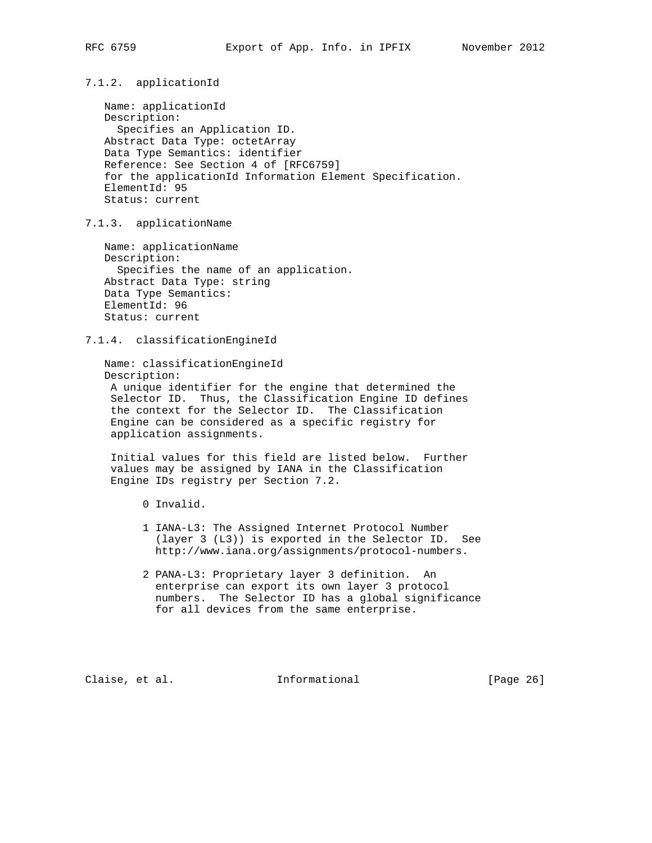7.1.2. applicationId

 Name: applicationId Description: Specifies an Application ID. Abstract Data Type: octetArray Data Type Semantics: identifier Reference: See Section 4 of [RFC6759] for the applicationId Information Element Specification. ElementId: 95 Status: current

7.1.3. applicationName

 Name: applicationName Description: Specifies the name of an application. Abstract Data Type: string Data Type Semantics: ElementId: 96 Status: current

7.1.4. classificationEngineId

 Name: classificationEngineId Description: A unique identifier for the engine that determined the Selector ID. Thus, the Classification Engine ID defines the context for the Selector ID. The Classification Engine can be considered as a specific registry for application assignments.

 Initial values for this field are listed below. Further values may be assigned by IANA in the Classification Engine IDs registry per Section 7.2.

- 0 Invalid.
- 1 IANA-L3: The Assigned Internet Protocol Number (layer 3 (L3)) is exported in the Selector ID. See http://www.iana.org/assignments/protocol-numbers.
- 2 PANA-L3: Proprietary layer 3 definition. An enterprise can export its own layer 3 protocol numbers. The Selector ID has a global significance for all devices from the same enterprise.

Claise, et al. Informational [Page 26]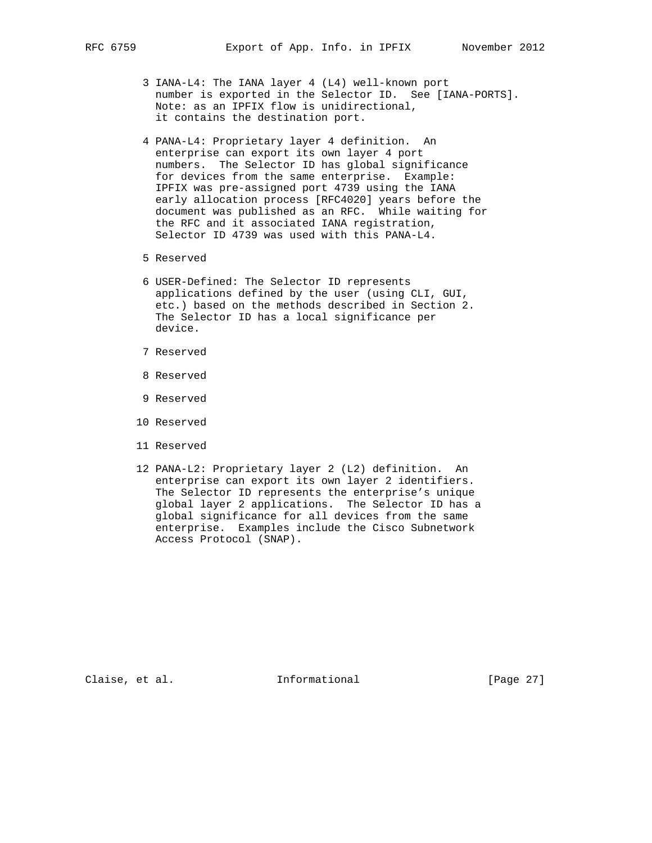- 3 IANA-L4: The IANA layer 4 (L4) well-known port number is exported in the Selector ID. See [IANA-PORTS]. Note: as an IPFIX flow is unidirectional, it contains the destination port.
- 4 PANA-L4: Proprietary layer 4 definition. An enterprise can export its own layer 4 port numbers. The Selector ID has global significance for devices from the same enterprise. Example: IPFIX was pre-assigned port 4739 using the IANA early allocation process [RFC4020] years before the document was published as an RFC. While waiting for the RFC and it associated IANA registration, Selector ID 4739 was used with this PANA-L4.
- 5 Reserved
- 6 USER-Defined: The Selector ID represents applications defined by the user (using CLI, GUI, etc.) based on the methods described in Section 2. The Selector ID has a local significance per device.
- 7 Reserved
- 8 Reserved
- 9 Reserved
- 10 Reserved
- 11 Reserved
- 12 PANA-L2: Proprietary layer 2 (L2) definition. An enterprise can export its own layer 2 identifiers. The Selector ID represents the enterprise's unique global layer 2 applications. The Selector ID has a global significance for all devices from the same enterprise. Examples include the Cisco Subnetwork Access Protocol (SNAP).

Claise, et al. 1nformational [Page 27]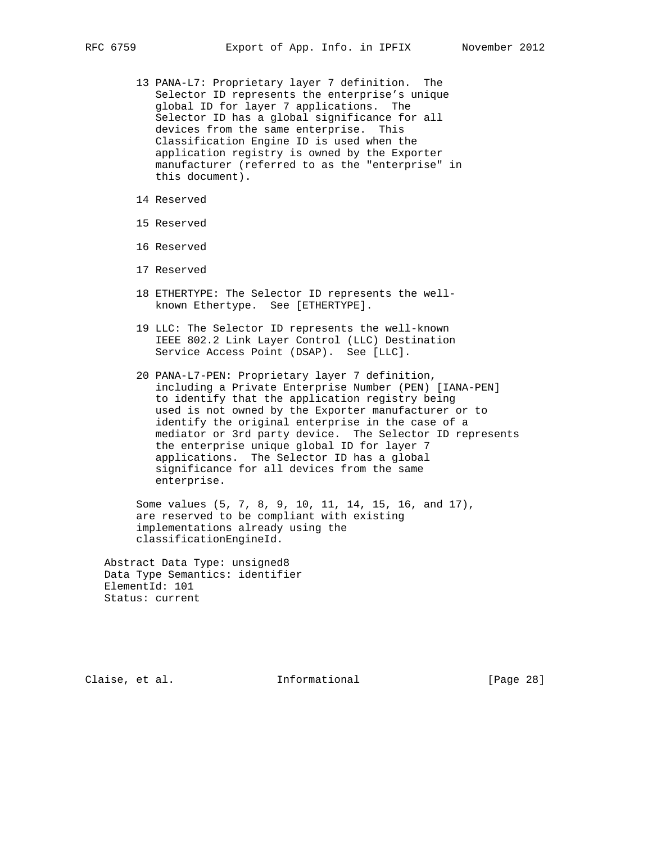- 13 PANA-L7: Proprietary layer 7 definition. The Selector ID represents the enterprise's unique global ID for layer 7 applications. The Selector ID has a global significance for all devices from the same enterprise. This Classification Engine ID is used when the application registry is owned by the Exporter manufacturer (referred to as the "enterprise" in this document).
- 14 Reserved
- 15 Reserved
- 16 Reserved
- 17 Reserved
- 18 ETHERTYPE: The Selector ID represents the well known Ethertype. See [ETHERTYPE].
- 19 LLC: The Selector ID represents the well-known IEEE 802.2 Link Layer Control (LLC) Destination Service Access Point (DSAP). See [LLC].
- 20 PANA-L7-PEN: Proprietary layer 7 definition, including a Private Enterprise Number (PEN) [IANA-PEN] to identify that the application registry being used is not owned by the Exporter manufacturer or to identify the original enterprise in the case of a mediator or 3rd party device. The Selector ID represents the enterprise unique global ID for layer 7 applications. The Selector ID has a global significance for all devices from the same enterprise.

 Some values (5, 7, 8, 9, 10, 11, 14, 15, 16, and 17), are reserved to be compliant with existing implementations already using the classificationEngineId.

 Abstract Data Type: unsigned8 Data Type Semantics: identifier ElementId: 101 Status: current

Claise, et al. Informational [Page 28]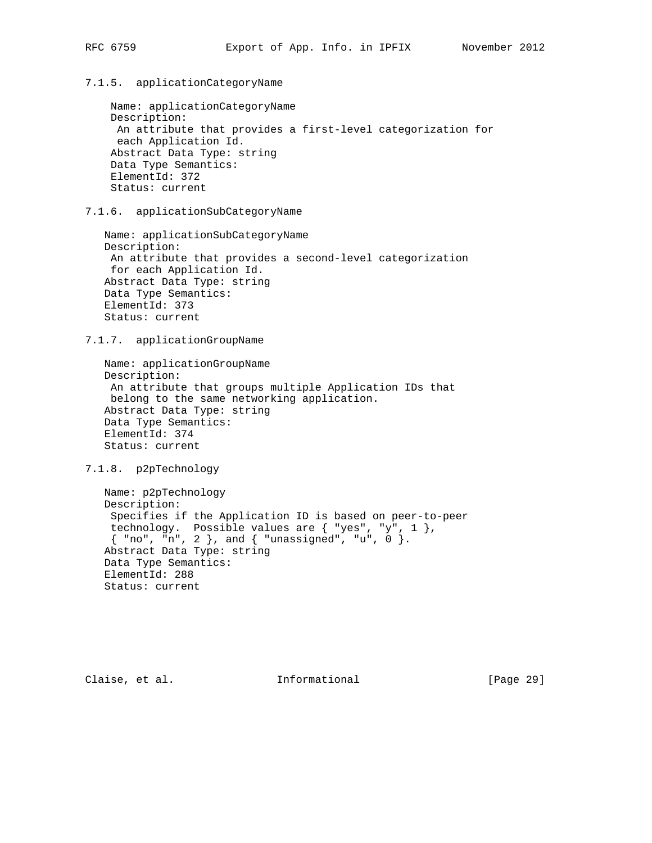## 7.1.5. applicationCategoryName

 Name: applicationCategoryName Description: An attribute that provides a first-level categorization for each Application Id. Abstract Data Type: string Data Type Semantics: ElementId: 372 Status: current

7.1.6. applicationSubCategoryName

 Name: applicationSubCategoryName Description: An attribute that provides a second-level categorization for each Application Id. Abstract Data Type: string Data Type Semantics: ElementId: 373 Status: current

7.1.7. applicationGroupName

 Name: applicationGroupName Description: An attribute that groups multiple Application IDs that belong to the same networking application. Abstract Data Type: string Data Type Semantics: ElementId: 374 Status: current

7.1.8. p2pTechnology

 Name: p2pTechnology Description: Specifies if the Application ID is based on peer-to-peer technology. Possible values are  $\{$  "yes", "y",  $1$   $\},$  { "no", "n", 2 }, and { "unassigned", "u", 0 }. Abstract Data Type: string Data Type Semantics: ElementId: 288 Status: current

Claise, et al. Informational [Page 29]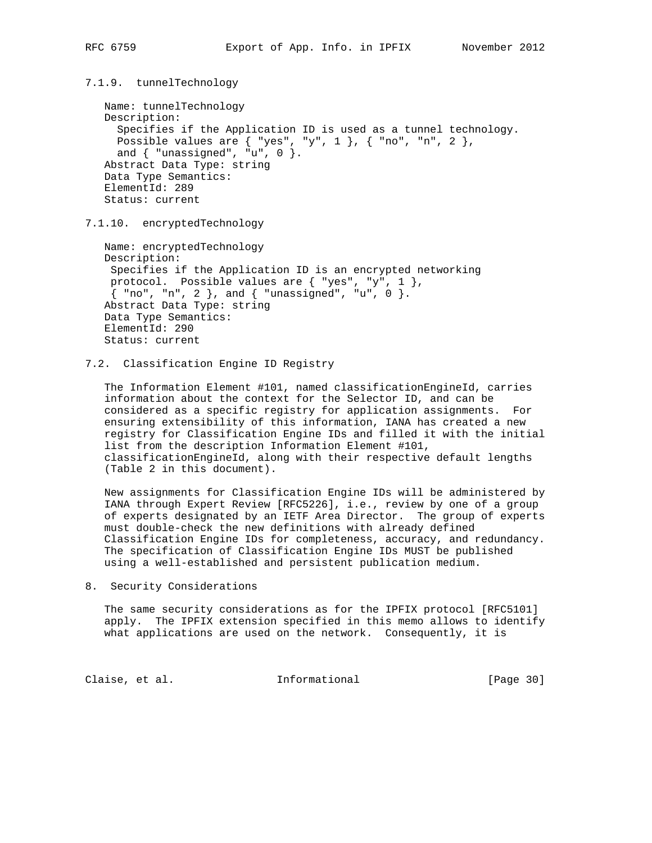7.1.9. tunnelTechnology

```
 Name: tunnelTechnology
 Description:
   Specifies if the Application ID is used as a tunnel technology.
  Possible values are \{ "yes", "y", 1 \}, \{ "no", "n", 2 \},
  and \{ "unassigned", "u", 0 \}.
 Abstract Data Type: string
 Data Type Semantics:
 ElementId: 289
 Status: current
```
7.1.10. encryptedTechnology

 Name: encryptedTechnology Description: Specifies if the Application ID is an encrypted networking protocol. Possible values are  $\{$  "yes", "y", 1  $\},$  { "no", "n", 2 }, and { "unassigned", "u", 0 }. Abstract Data Type: string Data Type Semantics: ElementId: 290 Status: current

## 7.2. Classification Engine ID Registry

 The Information Element #101, named classificationEngineId, carries information about the context for the Selector ID, and can be considered as a specific registry for application assignments. For ensuring extensibility of this information, IANA has created a new registry for Classification Engine IDs and filled it with the initial list from the description Information Element #101, classificationEngineId, along with their respective default lengths (Table 2 in this document).

 New assignments for Classification Engine IDs will be administered by IANA through Expert Review [RFC5226], i.e., review by one of a group of experts designated by an IETF Area Director. The group of experts must double-check the new definitions with already defined Classification Engine IDs for completeness, accuracy, and redundancy. The specification of Classification Engine IDs MUST be published using a well-established and persistent publication medium.

8. Security Considerations

 The same security considerations as for the IPFIX protocol [RFC5101] apply. The IPFIX extension specified in this memo allows to identify what applications are used on the network. Consequently, it is

Claise, et al. Informational [Page 30]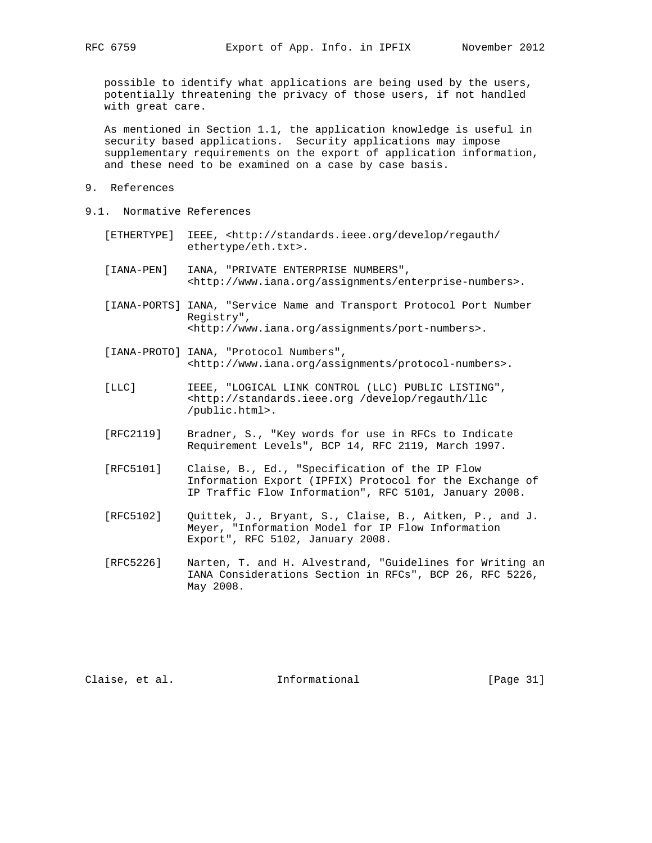possible to identify what applications are being used by the users, potentially threatening the privacy of those users, if not handled with great care.

 As mentioned in Section 1.1, the application knowledge is useful in security based applications. Security applications may impose supplementary requirements on the export of application information, and these need to be examined on a case by case basis.

- 9. References
- 9.1. Normative References
	- [ETHERTYPE] IEEE, <http://standards.ieee.org/develop/regauth/ ethertype/eth.txt>.
	- [IANA-PEN] IANA, "PRIVATE ENTERPRISE NUMBERS", <http://www.iana.org/assignments/enterprise-numbers>.
	- [IANA-PORTS] IANA, "Service Name and Transport Protocol Port Number Registry", <http://www.iana.org/assignments/port-numbers>.
	- [IANA-PROTO] IANA, "Protocol Numbers", <http://www.iana.org/assignments/protocol-numbers>.
	- [LLC] IEEE, "LOGICAL LINK CONTROL (LLC) PUBLIC LISTING", <http://standards.ieee.org /develop/regauth/llc /public.html>.
	- [RFC2119] Bradner, S., "Key words for use in RFCs to Indicate Requirement Levels", BCP 14, RFC 2119, March 1997.
	- [RFC5101] Claise, B., Ed., "Specification of the IP Flow Information Export (IPFIX) Protocol for the Exchange of IP Traffic Flow Information", RFC 5101, January 2008.
	- [RFC5102] Quittek, J., Bryant, S., Claise, B., Aitken, P., and J. Meyer, "Information Model for IP Flow Information Export", RFC 5102, January 2008.
	- [RFC5226] Narten, T. and H. Alvestrand, "Guidelines for Writing an IANA Considerations Section in RFCs", BCP 26, RFC 5226, May 2008.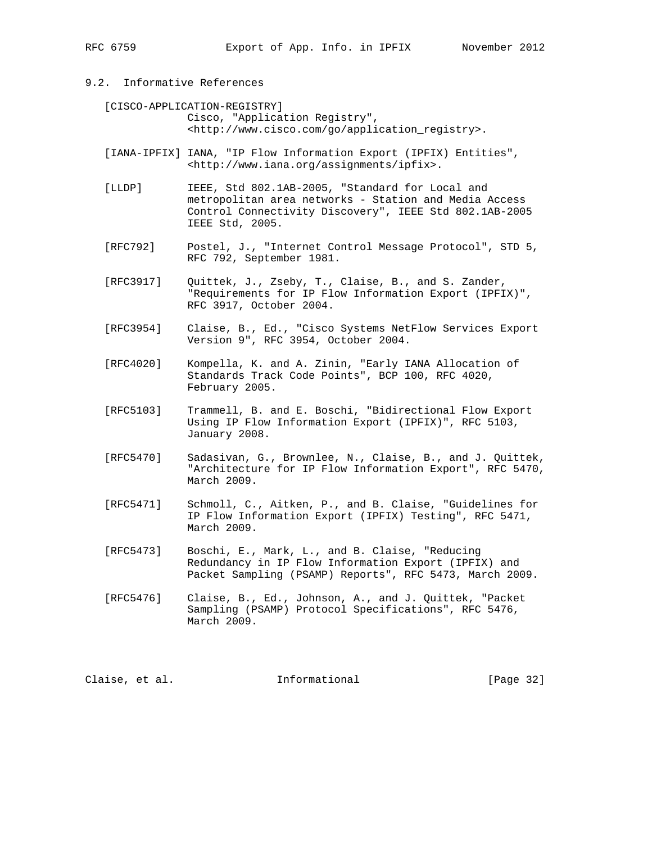# 9.2. Informative References

 [CISCO-APPLICATION-REGISTRY] Cisco, "Application Registry", <http://www.cisco.com/go/application\_registry>.

- [IANA-IPFIX] IANA, "IP Flow Information Export (IPFIX) Entities", <http://www.iana.org/assignments/ipfix>.
- [LLDP] IEEE, Std 802.1AB-2005, "Standard for Local and metropolitan area networks - Station and Media Access Control Connectivity Discovery", IEEE Std 802.1AB-2005 IEEE Std, 2005.
- [RFC792] Postel, J., "Internet Control Message Protocol", STD 5, RFC 792, September 1981.
- [RFC3917] Quittek, J., Zseby, T., Claise, B., and S. Zander, "Requirements for IP Flow Information Export (IPFIX)", RFC 3917, October 2004.
- [RFC3954] Claise, B., Ed., "Cisco Systems NetFlow Services Export Version 9", RFC 3954, October 2004.
- [RFC4020] Kompella, K. and A. Zinin, "Early IANA Allocation of Standards Track Code Points", BCP 100, RFC 4020, February 2005.
- [RFC5103] Trammell, B. and E. Boschi, "Bidirectional Flow Export Using IP Flow Information Export (IPFIX)", RFC 5103, January 2008.
- [RFC5470] Sadasivan, G., Brownlee, N., Claise, B., and J. Quittek, "Architecture for IP Flow Information Export", RFC 5470, March 2009.
- [RFC5471] Schmoll, C., Aitken, P., and B. Claise, "Guidelines for IP Flow Information Export (IPFIX) Testing", RFC 5471, March 2009.
- [RFC5473] Boschi, E., Mark, L., and B. Claise, "Reducing Redundancy in IP Flow Information Export (IPFIX) and Packet Sampling (PSAMP) Reports", RFC 5473, March 2009.
- [RFC5476] Claise, B., Ed., Johnson, A., and J. Quittek, "Packet Sampling (PSAMP) Protocol Specifications", RFC 5476, March 2009.

Claise, et al. Informational [Page 32]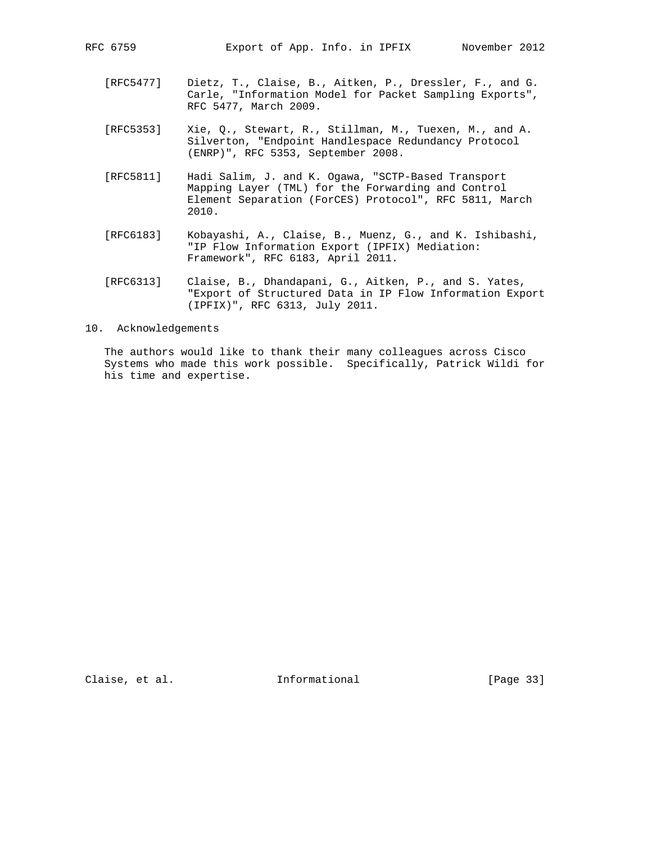- [RFC5477] Dietz, T., Claise, B., Aitken, P., Dressler, F., and G. Carle, "Information Model for Packet Sampling Exports", RFC 5477, March 2009.
- [RFC5353] Xie, Q., Stewart, R., Stillman, M., Tuexen, M., and A. Silverton, "Endpoint Handlespace Redundancy Protocol (ENRP)", RFC 5353, September 2008.
- [RFC5811] Hadi Salim, J. and K. Ogawa, "SCTP-Based Transport Mapping Layer (TML) for the Forwarding and Control Element Separation (ForCES) Protocol", RFC 5811, March 2010.
- [RFC6183] Kobayashi, A., Claise, B., Muenz, G., and K. Ishibashi, "IP Flow Information Export (IPFIX) Mediation: Framework", RFC 6183, April 2011.
- [RFC6313] Claise, B., Dhandapani, G., Aitken, P., and S. Yates, "Export of Structured Data in IP Flow Information Export (IPFIX)", RFC 6313, July 2011.

#### 10. Acknowledgements

 The authors would like to thank their many colleagues across Cisco Systems who made this work possible. Specifically, Patrick Wildi for his time and expertise.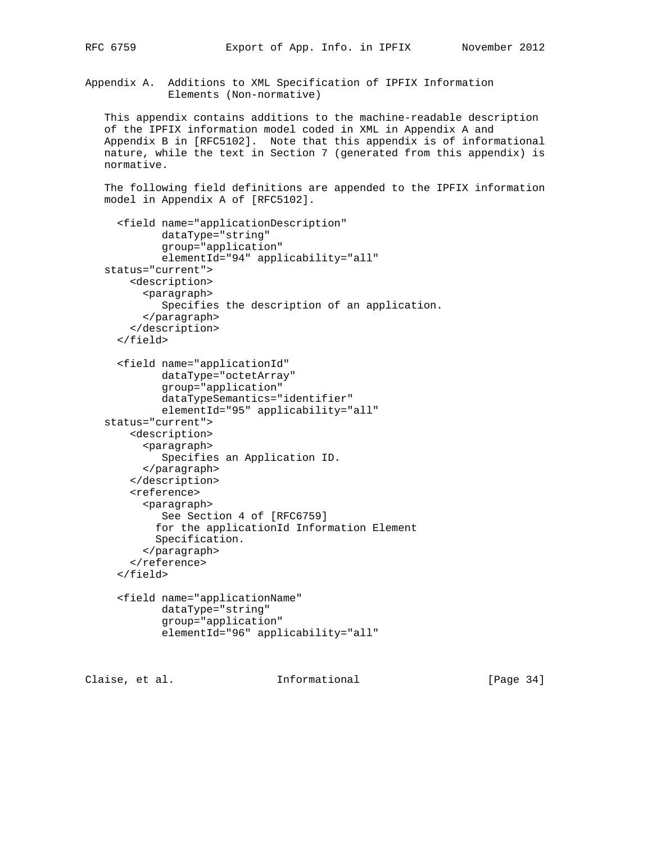Appendix A. Additions to XML Specification of IPFIX Information Elements (Non-normative)

 This appendix contains additions to the machine-readable description of the IPFIX information model coded in XML in Appendix A and Appendix B in [RFC5102]. Note that this appendix is of informational nature, while the text in Section 7 (generated from this appendix) is normative.

 The following field definitions are appended to the IPFIX information model in Appendix A of [RFC5102].

```
 <field name="applicationDescription"
          dataType="string"
          group="application"
          elementId="94" applicability="all"
 status="current">
     <description>
       <paragraph>
          Specifies the description of an application.
       </paragraph>
     </description>
   </field>
   <field name="applicationId"
          dataType="octetArray"
          group="application"
          dataTypeSemantics="identifier"
          elementId="95" applicability="all"
 status="current">
     <description>
       <paragraph>
          Specifies an Application ID.
       </paragraph>
     </description>
     <reference>
       <paragraph>
          See Section 4 of [RFC6759]
         for the applicationId Information Element
         Specification.
       </paragraph>
     </reference>
   </field>
   <field name="applicationName"
          dataType="string"
          group="application"
          elementId="96" applicability="all"
```
Claise, et al. Informational [Page 34]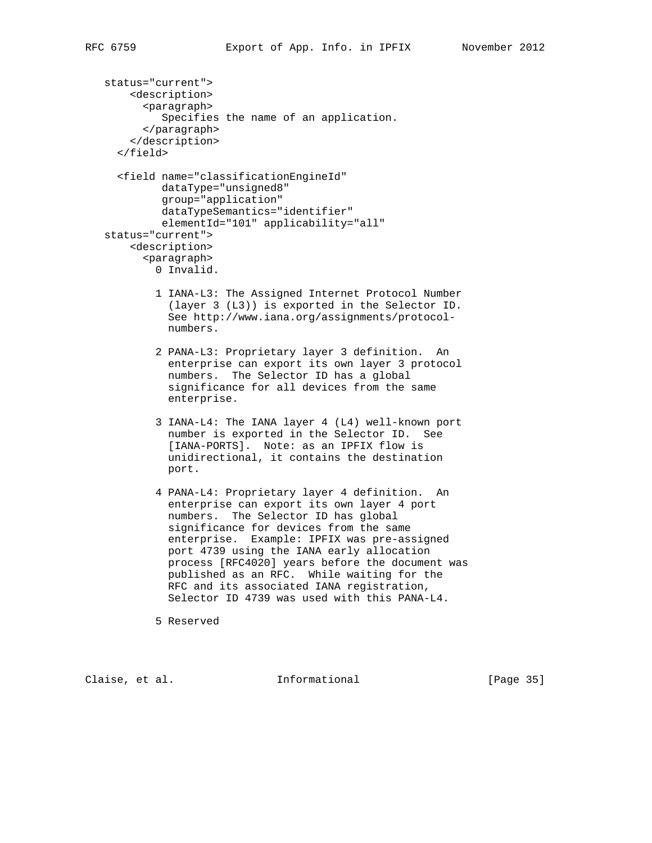```
 status="current">
     <description>
       <paragraph>
          Specifies the name of an application.
       </paragraph>
     </description>
   </field>
   <field name="classificationEngineId"
          dataType="unsigned8"
          group="application"
```

```
 dataTypeSemantics="identifier"
          elementId="101" applicability="all"
 status="current">
     <description>
```
 <paragraph> 0 Invalid.

- 1 IANA-L3: The Assigned Internet Protocol Number (layer 3 (L3)) is exported in the Selector ID. See http://www.iana.org/assignments/protocol numbers.
- 2 PANA-L3: Proprietary layer 3 definition. An enterprise can export its own layer 3 protocol numbers. The Selector ID has a global significance for all devices from the same enterprise.
- 3 IANA-L4: The IANA layer 4 (L4) well-known port number is exported in the Selector ID. See [IANA-PORTS]. Note: as an IPFIX flow is unidirectional, it contains the destination port.
- 4 PANA-L4: Proprietary layer 4 definition. An enterprise can export its own layer 4 port numbers. The Selector ID has global significance for devices from the same enterprise. Example: IPFIX was pre-assigned port 4739 using the IANA early allocation process [RFC4020] years before the document was published as an RFC. While waiting for the RFC and its associated IANA registration, Selector ID 4739 was used with this PANA-L4.

5 Reserved

Claise, et al. Informational [Page 35]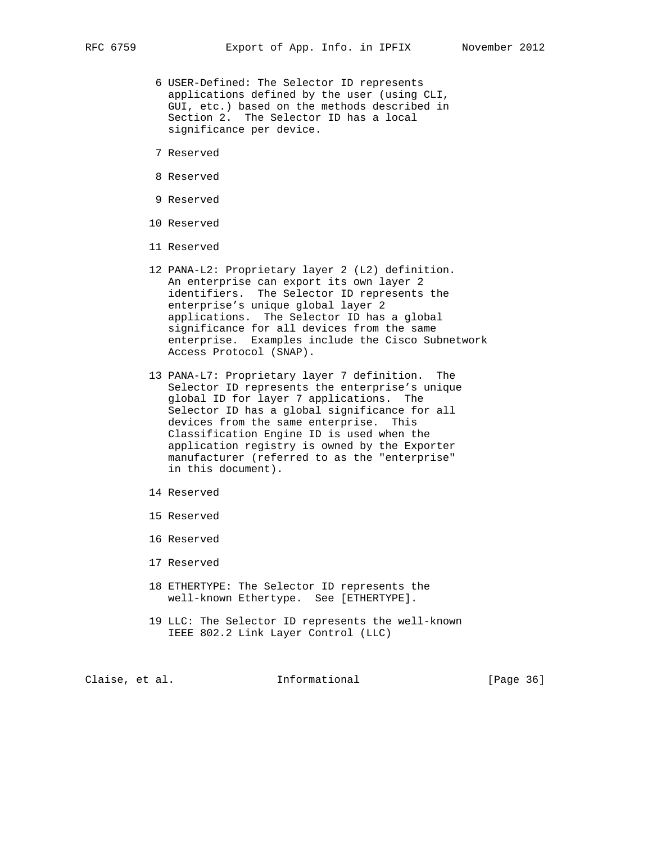- 6 USER-Defined: The Selector ID represents applications defined by the user (using CLI, GUI, etc.) based on the methods described in Section 2. The Selector ID has a local significance per device.
- 7 Reserved
- 8 Reserved
- 9 Reserved
- 10 Reserved
- 11 Reserved
- 12 PANA-L2: Proprietary layer 2 (L2) definition. An enterprise can export its own layer 2 identifiers. The Selector ID represents the enterprise's unique global layer 2 applications. The Selector ID has a global significance for all devices from the same enterprise. Examples include the Cisco Subnetwork Access Protocol (SNAP).
- 13 PANA-L7: Proprietary layer 7 definition. The Selector ID represents the enterprise's unique global ID for layer 7 applications. The Selector ID has a global significance for all devices from the same enterprise. This Classification Engine ID is used when the application registry is owned by the Exporter manufacturer (referred to as the "enterprise" in this document).
- 14 Reserved
- 15 Reserved
- 16 Reserved
- 17 Reserved
- 18 ETHERTYPE: The Selector ID represents the well-known Ethertype. See [ETHERTYPE].
- 19 LLC: The Selector ID represents the well-known IEEE 802.2 Link Layer Control (LLC)

Claise, et al. 1nformational [Page 36]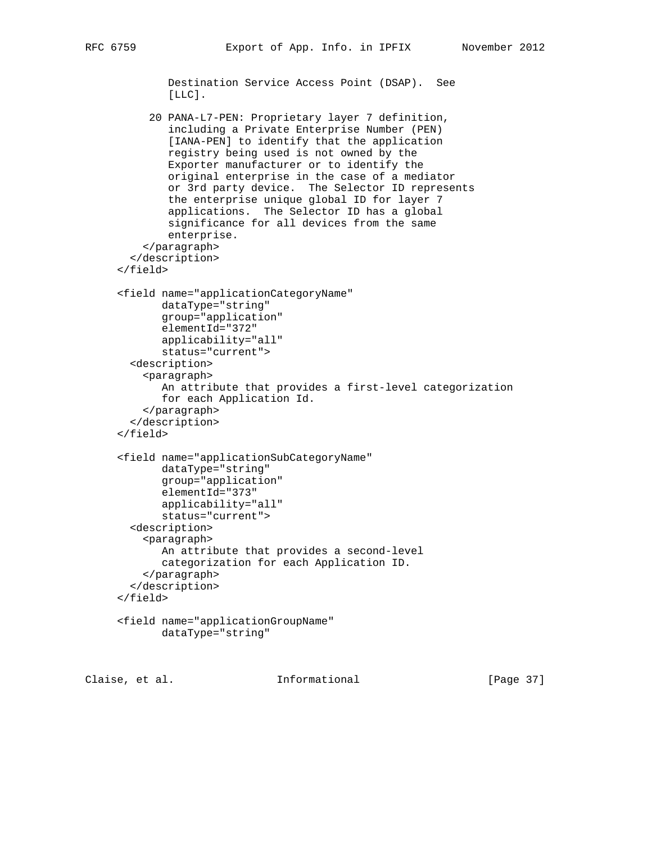```
 Destination Service Access Point (DSAP). See
 [LLC].
```
 20 PANA-L7-PEN: Proprietary layer 7 definition, including a Private Enterprise Number (PEN) [IANA-PEN] to identify that the application registry being used is not owned by the Exporter manufacturer or to identify the original enterprise in the case of a mediator or 3rd party device. The Selector ID represents the enterprise unique global ID for layer 7 applications. The Selector ID has a global significance for all devices from the same enterprise. </paragraph> </description> </field> <field name="applicationCategoryName" dataType="string" group="application" elementId="372" applicability="all" status="current"> <description> <paragraph> An attribute that provides a first-level categorization for each Application Id. </paragraph> </description> </field>

```
 <field name="applicationSubCategoryName"
        dataType="string"
        group="application"
        elementId="373"
        applicability="all"
        status="current">
   <description>
     <paragraph>
        An attribute that provides a second-level
        categorization for each Application ID.
     </paragraph>
   </description>
 </field>
```

```
 <field name="applicationGroupName"
        dataType="string"
```

```
Claise, et al.                 Informational               [Page 37]
```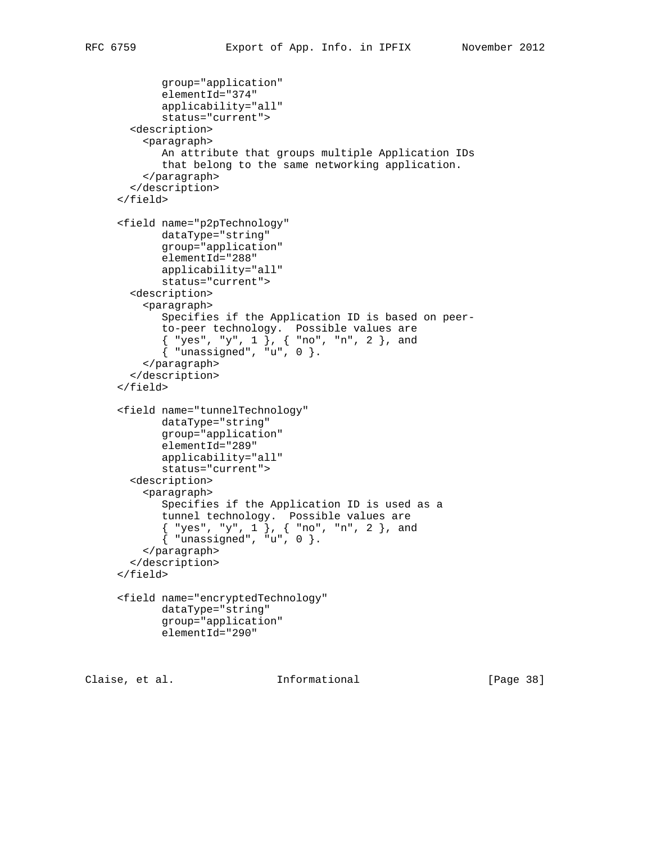```
 group="application"
            elementId="374"
            applicability="all"
            status="current">
       <description>
         <paragraph>
            An attribute that groups multiple Application IDs
            that belong to the same networking application.
          </paragraph>
       </description>
     </field>
     <field name="p2pTechnology"
            dataType="string"
            group="application"
            elementId="288"
            applicability="all"
            status="current">
       <description>
          <paragraph>
            Specifies if the Application ID is based on peer-
            to-peer technology. Possible values are
 { "yes", "y", 1 }, { "no", "n", 2 }, and
 { "unassigned", "u", 0 }.
          </paragraph>
       </description>
     </field>
     <field name="tunnelTechnology"
            dataType="string"
            group="application"
            elementId="289"
            applicability="all"
            status="current">
       <description>
          <paragraph>
            Specifies if the Application ID is used as a
 tunnel technology. Possible values are
 { "yes", "y", 1 }, { "no", "n", 2 }, and
 { "unassigned", "u", 0 }.
         </paragraph>
       </description>
     </field>
     <field name="encryptedTechnology"
            dataType="string"
            group="application"
            elementId="290"
```
Claise, et al. Informational [Page 38]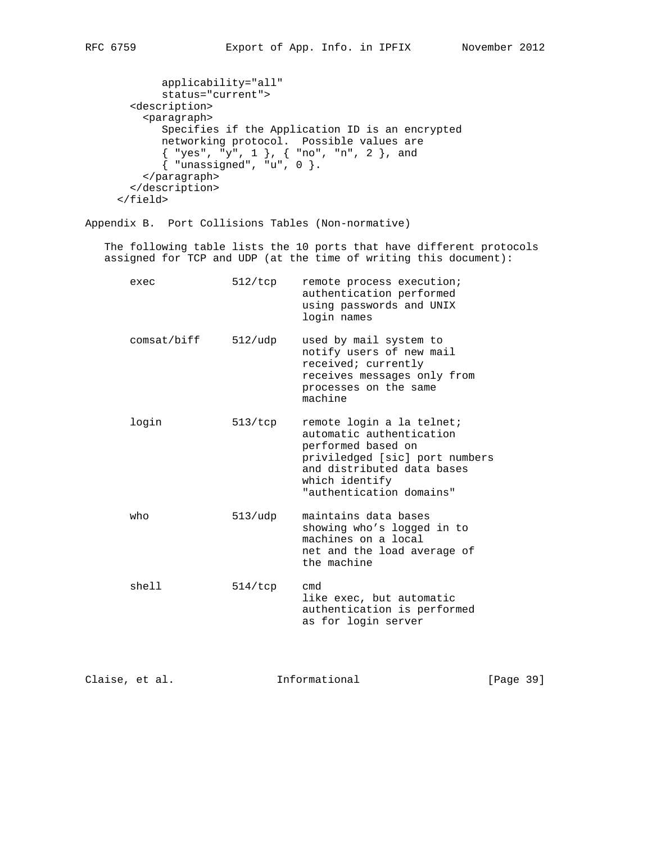```
 applicability="all"
            status="current">
        <description>
          <paragraph>
            Specifies if the Application ID is an encrypted
            networking protocol. Possible values are
            { "yes", "y", 1 }, { "no", "n", 2 }, and
            \{ "unassigned", "u", 0 \}. </paragraph>
        </description>
      </field>
Appendix B. Port Collisions Tables (Non-normative)
   The following table lists the 10 ports that have different protocols
   assigned for TCP and UDP (at the time of writing this document):
      exec 512/tcp remote process execution;
                                  authentication performed
                                  using passwords and UNIX
                                  login names
       comsat/biff 512/udp used by mail system to
                                  notify users of new mail
                                  received; currently
                                  receives messages only from
                                  processes on the same
                                  machine
      login 513/tcp remote login a la telnet;
                                  automatic authentication
                                  performed based on
                                  priviledged [sic] port numbers
                                  and distributed data bases
                                  which identify
                                  "authentication domains"
      who 513/udp maintains data bases
                                  showing who's logged in to
                                  machines on a local
                                  net and the load average of
                                  the machine
```

| shell | 514/tcp | cmd                         |
|-------|---------|-----------------------------|
|       |         | like exec, but automatic    |
|       |         | authentication is performed |
|       |         | as for login server         |

Claise, et al. Informational [Page 39]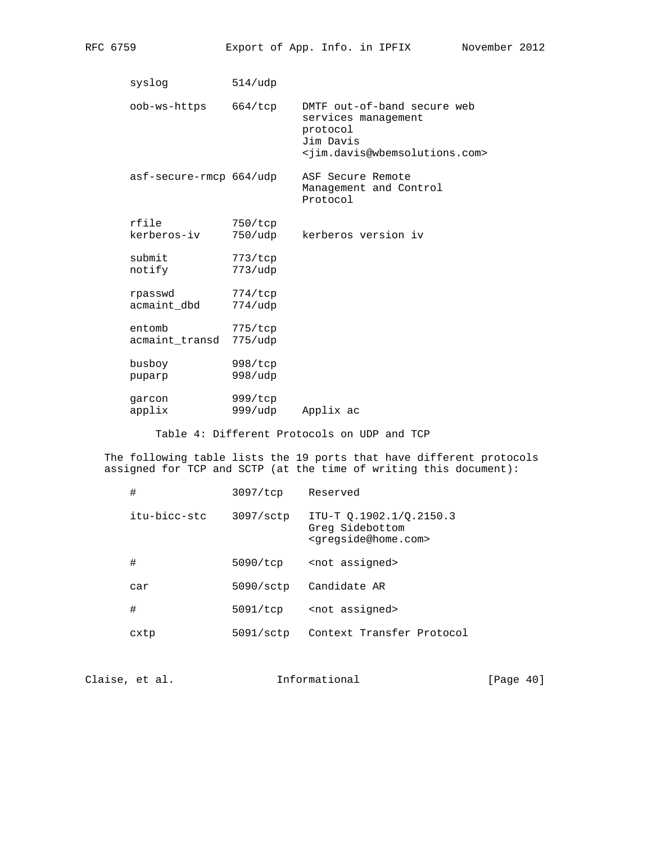| syslog                   | 514/udp               |                                                                                                                                            |
|--------------------------|-----------------------|--------------------------------------------------------------------------------------------------------------------------------------------|
| oob-ws-https             | 664/top               | DMTF out-of-band secure web<br>services management<br>protocol<br>Jim Davis<br><jim.davis@wbemsolutions.com></jim.davis@wbemsolutions.com> |
| asf-secure-rmcp 664/udp  |                       | ASF Secure Remote<br>Management and Control<br>Protocol                                                                                    |
| rfile<br>kerberos-iv     | 750/top<br>750/udp    | kerberos version iv                                                                                                                        |
| submit<br>notify         | 773/top<br>773/udp    |                                                                                                                                            |
| rpasswd<br>acmaint_dbd   | 774/tcp<br>$774/$ udp |                                                                                                                                            |
| entomb<br>acmaint transd | 775/top<br>$775/$ udp |                                                                                                                                            |
| busboy<br>puparp         | 998/top<br>998/udp    |                                                                                                                                            |
| garcon<br>applix         | 999/tcp<br>999/udp    | Applix ac                                                                                                                                  |

Table 4: Different Protocols on UDP and TCP

 The following table lists the 19 ports that have different protocols assigned for TCP and SCTP (at the time of writing this document):

| #            | 3097/tcp           | Reserved                                                                              |
|--------------|--------------------|---------------------------------------------------------------------------------------|
| itu-bicc-stc | 3097/sctp          | ITU-T 0.1902.1/0.2150.3<br>Greg Sidebottom<br><gregside@home.com></gregside@home.com> |
| #            | 5090/tcp           | <not assigned=""></not>                                                               |
| car          | 5090/sec           | Candidate AR                                                                          |
| #            | 5091/tcp           | <not assigned=""></not>                                                               |
| cxtp         | $5091/\text{sctp}$ | Context Transfer Protocol                                                             |
|              |                    |                                                                                       |

Claise, et al. 1nformational [Page 40]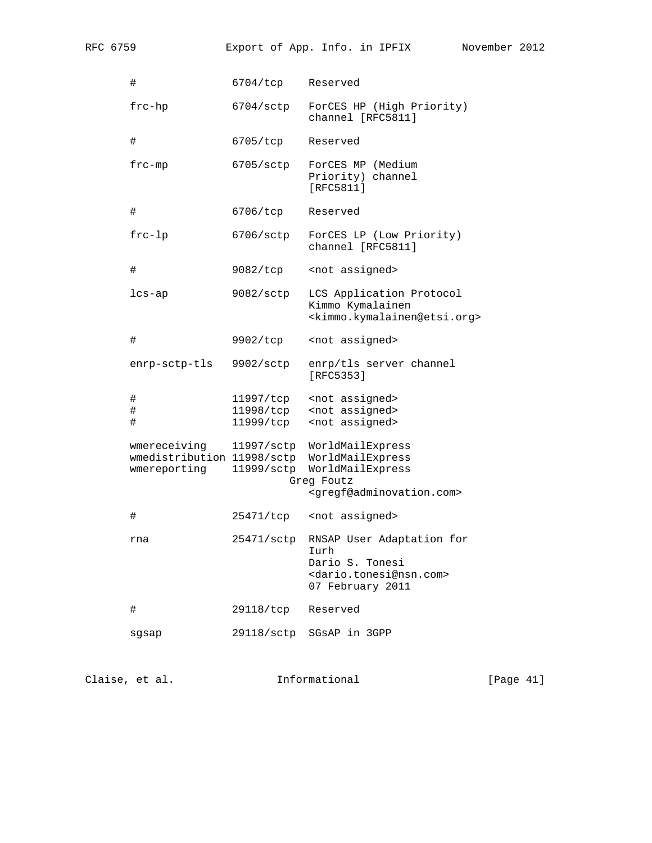| RFC 6759 |                                                            |                                     | Export of App. Info. in IPFIX                                                                                               | November 2012 |  |
|----------|------------------------------------------------------------|-------------------------------------|-----------------------------------------------------------------------------------------------------------------------------|---------------|--|
|          | #                                                          | 6704/tcp                            | Reserved                                                                                                                    |               |  |
|          | $frac$ -hp                                                 | 6704/sctp                           | ForCES HP (High Priority)<br>channel [RFC5811]                                                                              |               |  |
|          | #                                                          | 6705/tcp                            | Reserved                                                                                                                    |               |  |
|          | $frc$ -mp                                                  | $6705/\text{sctp}$                  | ForCES MP (Medium<br>Priority) channel<br>[RFC5811]                                                                         |               |  |
|          | #                                                          | 6706/tcp                            | Reserved                                                                                                                    |               |  |
|          | $frc-lp$                                                   | $6706/\mathrm{sctp}$                | ForCES LP (Low Priority)<br>channel [RFC5811]                                                                               |               |  |
|          | $\#$                                                       | 9082/tcp                            | <not assigned=""></not>                                                                                                     |               |  |
|          | $lcs-ap$                                                   | $9082/\text{sctp}$                  | LCS Application Protocol<br>Kimmo Kymalainen<br><kimmo.kymalainen@etsi.org></kimmo.kymalainen@etsi.org>                     |               |  |
|          | $\#$                                                       | 9902/tcp                            | <not assigned=""></not>                                                                                                     |               |  |
|          | enrp-sctp-tls                                              | 9902/sctp                           | enrp/tls server channel<br>[RFC5353]                                                                                        |               |  |
|          | #<br>$\#$<br>$\#$                                          | 11997/tcp<br>11998/tcp<br>11999/tcp | <not assigned=""><br/><not assigned=""><br/><not assigned=""></not></not></not>                                             |               |  |
|          | wmereceiving<br>wmedistribution 11998/sctp<br>wmereporting | 11997/sctp<br>11999/sctp            | WorldMailExpress<br>WorldMailExpress<br>WorldMailExpress<br>Greg Foutz<br><gregf@adminovation.com></gregf@adminovation.com> |               |  |
|          | #                                                          | 25471/tcp                           | <not assigned=""></not>                                                                                                     |               |  |
|          | rna                                                        | 25471/sctp                          | RNSAP User Adaptation for<br>Iurh<br>Dario S. Tonesi<br><dario.tonesi@nsn.com><br/>07 February 2011</dario.tonesi@nsn.com>  |               |  |
|          | #                                                          | 29118/tcp                           | Reserved                                                                                                                    |               |  |
|          | sgsap                                                      | 29118/sctp                          | SGSAP in 3GPP                                                                                                               |               |  |

Claise, et al. 1nformational [Page 41]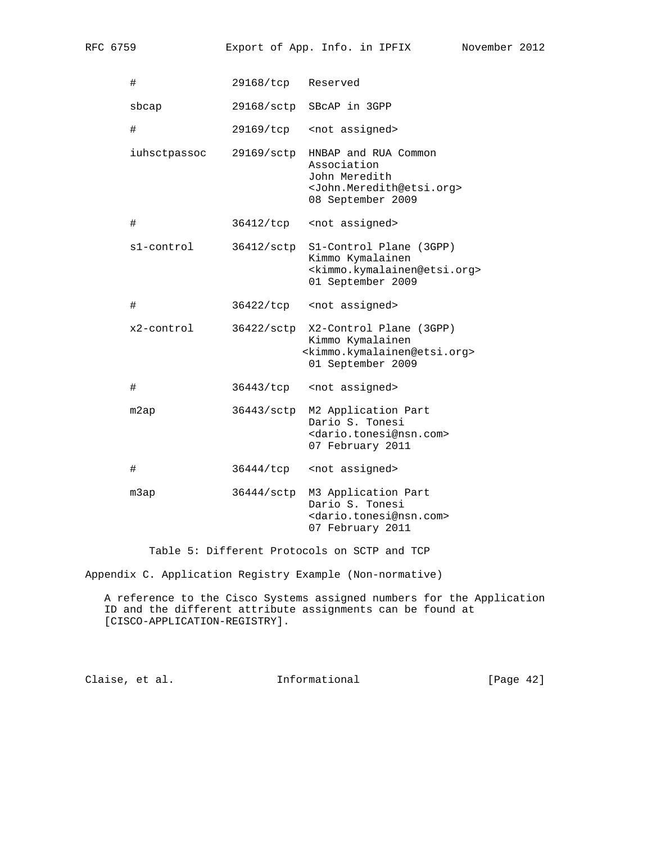RFC 6759 Export of App. Info. in IPFIX November 2012

| #            | 29168/tcp  | Reserved                                                                                                                        |
|--------------|------------|---------------------------------------------------------------------------------------------------------------------------------|
| sbcap        | 29168/sctp | SBCAP in 3GPP                                                                                                                   |
| $\#$         | 29169/tcp  | <not assigned=""></not>                                                                                                         |
| iuhsctpassoc | 29169/sctp | HNBAP and RUA Common<br>Association<br>John Meredith<br><john.meredith@etsi.org><br/>08 September 2009</john.meredith@etsi.org> |
| #            | 36412/tcp  | <not assigned=""></not>                                                                                                         |
| s1-control   | 36412/sctp | S1-Control Plane (3GPP)<br>Kimmo Kymalainen<br><kimmo.kymalainen@etsi.org><br/>01 September 2009</kimmo.kymalainen@etsi.org>    |
| #            | 36422/tcp  | <not assigned=""></not>                                                                                                         |
| x2-control   | 36422/sctp | X2-Control Plane (3GPP)<br>Kimmo Kymalainen<br><kimmo.kymalainen@etsi.org><br/>01 September 2009</kimmo.kymalainen@etsi.org>    |
| #            | 36443/tcp  | <not assigned=""></not>                                                                                                         |
| m2ap         | 36443/sctp | M2 Application Part<br>Dario S. Tonesi<br><dario.tonesi@nsn.com><br/>07 February 2011</dario.tonesi@nsn.com>                    |
| #            | 36444/tcp  | <not assigned=""></not>                                                                                                         |
| m3ap         | 36444/sctp | M3 Application Part<br>Dario S. Tonesi<br><dario.tonesi@nsn.com><br/>07 February 2011</dario.tonesi@nsn.com>                    |

Table 5: Different Protocols on SCTP and TCP

Appendix C. Application Registry Example (Non-normative)

 A reference to the Cisco Systems assigned numbers for the Application ID and the different attribute assignments can be found at [CISCO-APPLICATION-REGISTRY].

Claise, et al. 1nformational [Page 42]